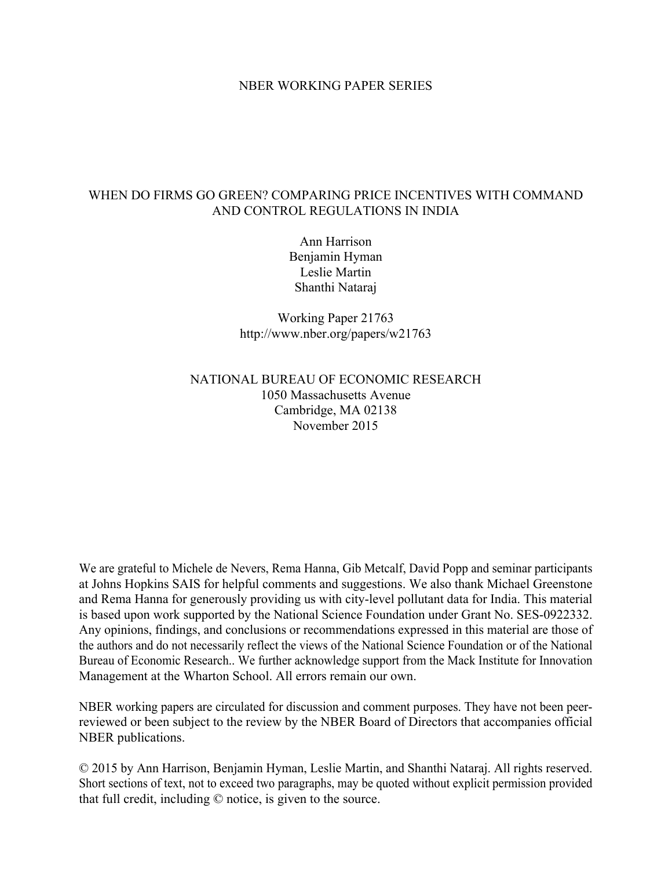#### NBER WORKING PAPER SERIES

#### WHEN DO FIRMS GO GREEN? COMPARING PRICE INCENTIVES WITH COMMAND AND CONTROL REGULATIONS IN INDIA

Ann Harrison Benjamin Hyman Leslie Martin Shanthi Nataraj

Working Paper 21763 http://www.nber.org/papers/w21763

#### NATIONAL BUREAU OF ECONOMIC RESEARCH 1050 Massachusetts Avenue Cambridge, MA 02138 November 2015

We are grateful to Michele de Nevers, Rema Hanna, Gib Metcalf, David Popp and seminar participants at Johns Hopkins SAIS for helpful comments and suggestions. We also thank Michael Greenstone and Rema Hanna for generously providing us with city-level pollutant data for India. This material is based upon work supported by the National Science Foundation under Grant No. SES-0922332. Any opinions, findings, and conclusions or recommendations expressed in this material are those of the authors and do not necessarily reflect the views of the National Science Foundation or of the National Bureau of Economic Research.. We further acknowledge support from the Mack Institute for Innovation Management at the Wharton School. All errors remain our own.

NBER working papers are circulated for discussion and comment purposes. They have not been peerreviewed or been subject to the review by the NBER Board of Directors that accompanies official NBER publications.

© 2015 by Ann Harrison, Benjamin Hyman, Leslie Martin, and Shanthi Nataraj. All rights reserved. Short sections of text, not to exceed two paragraphs, may be quoted without explicit permission provided that full credit, including © notice, is given to the source.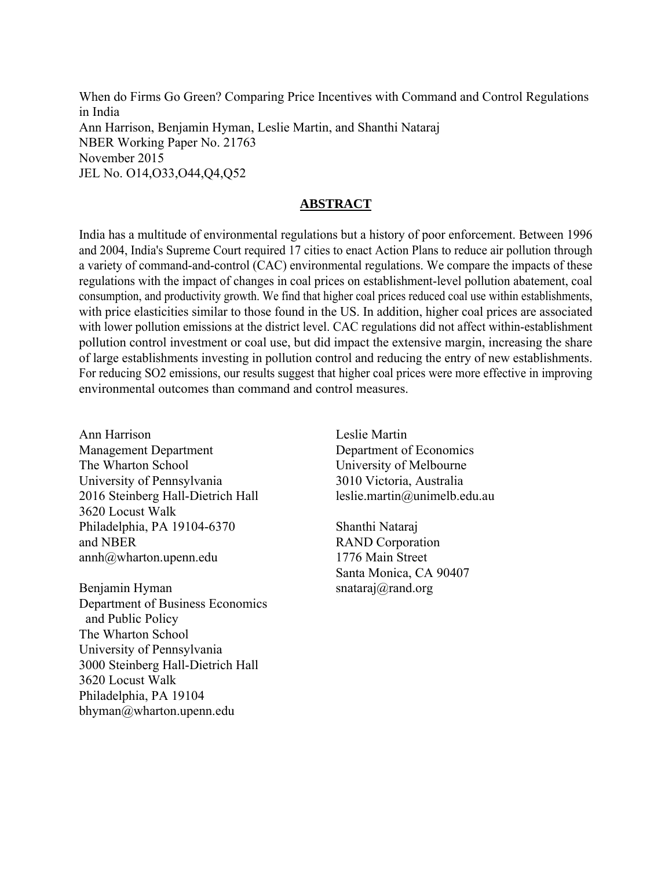When do Firms Go Green? Comparing Price Incentives with Command and Control Regulations in India Ann Harrison, Benjamin Hyman, Leslie Martin, and Shanthi Nataraj NBER Working Paper No. 21763 November 2015 JEL No. O14,O33,O44,Q4,Q52

#### **ABSTRACT**

India has a multitude of environmental regulations but a history of poor enforcement. Between 1996 and 2004, India's Supreme Court required 17 cities to enact Action Plans to reduce air pollution through a variety of command-and-control (CAC) environmental regulations. We compare the impacts of these regulations with the impact of changes in coal prices on establishment-level pollution abatement, coal consumption, and productivity growth. We find that higher coal prices reduced coal use within establishments, with price elasticities similar to those found in the US. In addition, higher coal prices are associated with lower pollution emissions at the district level. CAC regulations did not affect within-establishment pollution control investment or coal use, but did impact the extensive margin, increasing the share of large establishments investing in pollution control and reducing the entry of new establishments. For reducing SO2 emissions, our results suggest that higher coal prices were more effective in improving environmental outcomes than command and control measures.

Ann Harrison Management Department The Wharton School University of Pennsylvania 2016 Steinberg Hall-Dietrich Hall 3620 Locust Walk Philadelphia, PA 19104-6370 and NBER annh@wharton.upenn.edu

Benjamin Hyman Department of Business Economics and Public Policy The Wharton School University of Pennsylvania 3000 Steinberg Hall-Dietrich Hall 3620 Locust Walk Philadelphia, PA 19104 bhyman@wharton.upenn.edu

Leslie Martin Department of Economics University of Melbourne 3010 Victoria, Australia leslie.martin@unimelb.edu.au

Shanthi Nataraj RAND Corporation 1776 Main Street Santa Monica, CA 90407 snataraj@rand.org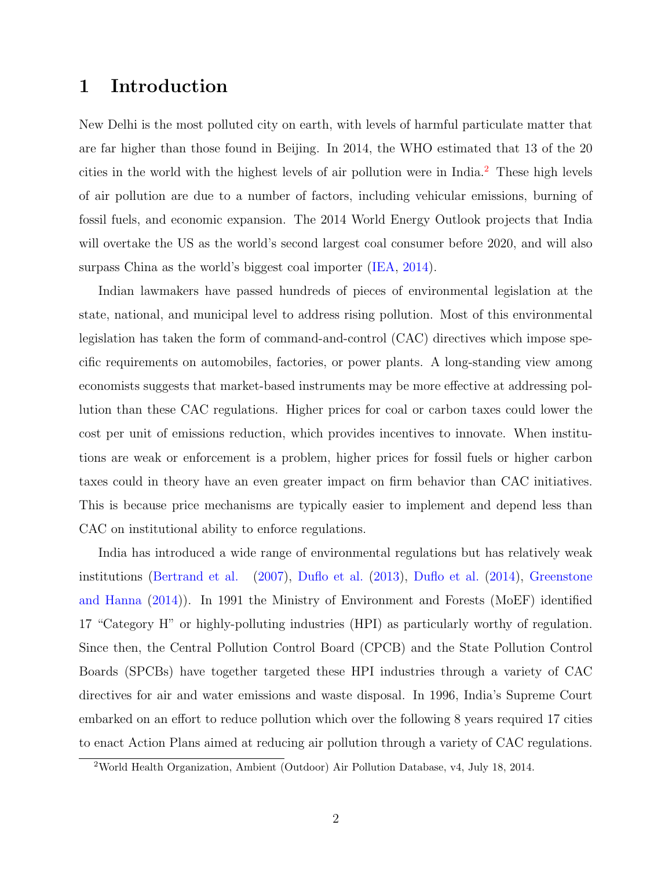## 1 Introduction

New Delhi is the most polluted city on earth, with levels of harmful particulate matter that are far higher than those found in Beijing. In 2014, the WHO estimated that 13 of the 20 cities in the world with the highest levels of air pollution were in India.[2](#page-2-0) These high levels of air pollution are due to a number of factors, including vehicular emissions, burning of fossil fuels, and economic expansion. The 2014 World Energy Outlook projects that India will overtake the US as the world's second largest coal consumer before 2020, and will also surpass China as the world's biggest coal importer [\(IEA,](#page-41-0) [2014\)](#page-41-0).

Indian lawmakers have passed hundreds of pieces of environmental legislation at the state, national, and municipal level to address rising pollution. Most of this environmental legislation has taken the form of command-and-control (CAC) directives which impose specific requirements on automobiles, factories, or power plants. A long-standing view among economists suggests that market-based instruments may be more effective at addressing pollution than these CAC regulations. Higher prices for coal or carbon taxes could lower the cost per unit of emissions reduction, which provides incentives to innovate. When institutions are weak or enforcement is a problem, higher prices for fossil fuels or higher carbon taxes could in theory have an even greater impact on firm behavior than CAC initiatives. This is because price mechanisms are typically easier to implement and depend less than CAC on institutional ability to enforce regulations.

India has introduced a wide range of environmental regulations but has relatively weak institutions [\(Bertrand et al.](#page-40-0) [\(2007\)](#page-40-0), [Duflo et al.](#page-40-1) [\(2013\)](#page-40-1), [Duflo et al.](#page-40-2) [\(2014\)](#page-40-2), [Greenstone](#page-41-1) [and Hanna](#page-41-1) [\(2014\)](#page-41-1)). In 1991 the Ministry of Environment and Forests (MoEF) identified 17 "Category H" or highly-polluting industries (HPI) as particularly worthy of regulation. Since then, the Central Pollution Control Board (CPCB) and the State Pollution Control Boards (SPCBs) have together targeted these HPI industries through a variety of CAC directives for air and water emissions and waste disposal. In 1996, India's Supreme Court embarked on an effort to reduce pollution which over the following 8 years required 17 cities to enact Action Plans aimed at reducing air pollution through a variety of CAC regulations.

<span id="page-2-0"></span><sup>2</sup>World Health Organization, Ambient (Outdoor) Air Pollution Database, v4, July 18, 2014.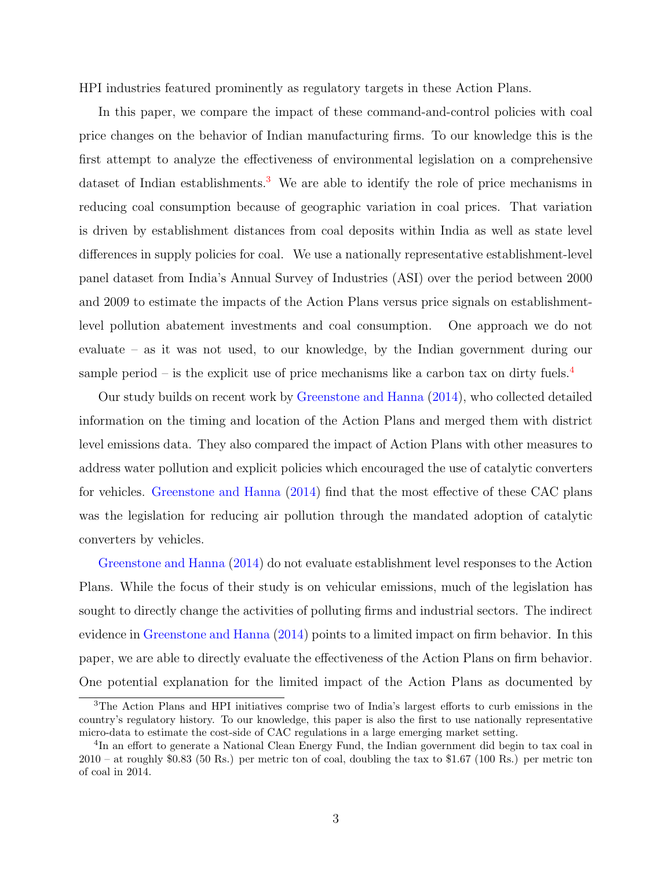HPI industries featured prominently as regulatory targets in these Action Plans.

In this paper, we compare the impact of these command-and-control policies with coal price changes on the behavior of Indian manufacturing firms. To our knowledge this is the first attempt to analyze the effectiveness of environmental legislation on a comprehensive dataset of Indian establishments.<sup>[3](#page-3-0)</sup> We are able to identify the role of price mechanisms in reducing coal consumption because of geographic variation in coal prices. That variation is driven by establishment distances from coal deposits within India as well as state level differences in supply policies for coal. We use a nationally representative establishment-level panel dataset from India's Annual Survey of Industries (ASI) over the period between 2000 and 2009 to estimate the impacts of the Action Plans versus price signals on establishmentlevel pollution abatement investments and coal consumption. One approach we do not evaluate – as it was not used, to our knowledge, by the Indian government during our sample period – is the explicit use of price mechanisms like a carbon tax on dirty fuels.<sup>[4](#page-3-1)</sup>

Our study builds on recent work by [Greenstone and Hanna](#page-41-1) [\(2014\)](#page-41-1), who collected detailed information on the timing and location of the Action Plans and merged them with district level emissions data. They also compared the impact of Action Plans with other measures to address water pollution and explicit policies which encouraged the use of catalytic converters for vehicles. [Greenstone and Hanna](#page-41-1) [\(2014\)](#page-41-1) find that the most effective of these CAC plans was the legislation for reducing air pollution through the mandated adoption of catalytic converters by vehicles.

[Greenstone and Hanna](#page-41-1) [\(2014\)](#page-41-1) do not evaluate establishment level responses to the Action Plans. While the focus of their study is on vehicular emissions, much of the legislation has sought to directly change the activities of polluting firms and industrial sectors. The indirect evidence in [Greenstone and Hanna](#page-41-1) [\(2014\)](#page-41-1) points to a limited impact on firm behavior. In this paper, we are able to directly evaluate the effectiveness of the Action Plans on firm behavior. One potential explanation for the limited impact of the Action Plans as documented by

<span id="page-3-0"></span><sup>3</sup>The Action Plans and HPI initiatives comprise two of India's largest efforts to curb emissions in the country's regulatory history. To our knowledge, this paper is also the first to use nationally representative micro-data to estimate the cost-side of CAC regulations in a large emerging market setting.

<span id="page-3-1"></span><sup>4</sup> In an effort to generate a National Clean Energy Fund, the Indian government did begin to tax coal in 2010 – at roughly \$0.83 (50 Rs.) per metric ton of coal, doubling the tax to \$1.67 (100 Rs.) per metric ton of coal in 2014.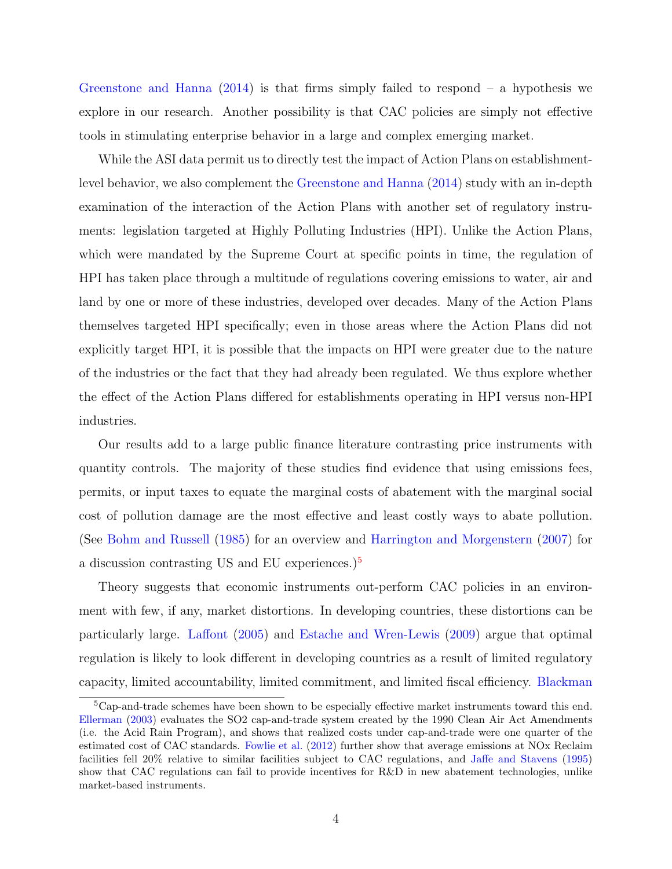[Greenstone and Hanna](#page-41-1)  $(2014)$  is that firms simply failed to respond – a hypothesis we explore in our research. Another possibility is that CAC policies are simply not effective tools in stimulating enterprise behavior in a large and complex emerging market.

While the ASI data permit us to directly test the impact of Action Plans on establishmentlevel behavior, we also complement the [Greenstone and Hanna](#page-41-1) [\(2014\)](#page-41-1) study with an in-depth examination of the interaction of the Action Plans with another set of regulatory instruments: legislation targeted at Highly Polluting Industries (HPI). Unlike the Action Plans, which were mandated by the Supreme Court at specific points in time, the regulation of HPI has taken place through a multitude of regulations covering emissions to water, air and land by one or more of these industries, developed over decades. Many of the Action Plans themselves targeted HPI specifically; even in those areas where the Action Plans did not explicitly target HPI, it is possible that the impacts on HPI were greater due to the nature of the industries or the fact that they had already been regulated. We thus explore whether the effect of the Action Plans differed for establishments operating in HPI versus non-HPI industries.

Our results add to a large public finance literature contrasting price instruments with quantity controls. The majority of these studies find evidence that using emissions fees, permits, or input taxes to equate the marginal costs of abatement with the marginal social cost of pollution damage are the most effective and least costly ways to abate pollution. (See [Bohm and Russell](#page-40-3) [\(1985\)](#page-40-3) for an overview and [Harrington and Morgenstern](#page-41-2) [\(2007\)](#page-41-2) for a discussion contrasting US and EU experiences.)[5](#page-4-0)

Theory suggests that economic instruments out-perform CAC policies in an environment with few, if any, market distortions. In developing countries, these distortions can be particularly large. [Laffont](#page-42-0) [\(2005\)](#page-42-0) and [Estache and Wren-Lewis](#page-41-3) [\(2009\)](#page-41-3) argue that optimal regulation is likely to look different in developing countries as a result of limited regulatory capacity, limited accountability, limited commitment, and limited fiscal efficiency. [Blackman](#page-40-4)

<span id="page-4-0"></span><sup>5</sup>[Cap-and-trade schemes have been shown to be especially effective market instruments toward this end.](#page-40-4) [Ellerman](#page-40-5) [\(2003\) evaluates the SO2 cap-and-trade system created by the 1990 Clean Air Act Amendments](#page-40-4) [\(i.e. the Acid Rain Program\), and shows that realized costs under cap-and-trade were one quarter of the](#page-40-4) estimated cost of CAC standards. [Fowlie et al.](#page-41-4) [\(2012\) further show that average emissions at NOx Reclaim](#page-40-4) [facilities fell 20% relative to similar facilities subject to CAC regulations, and](#page-40-4) [Jaffe and Stavens](#page-42-1) [\(1995\)](#page-42-1) [show that CAC regulations can fail to provide incentives for R&D in new abatement technologies, unlike](#page-40-4) [market-based instruments.](#page-40-4)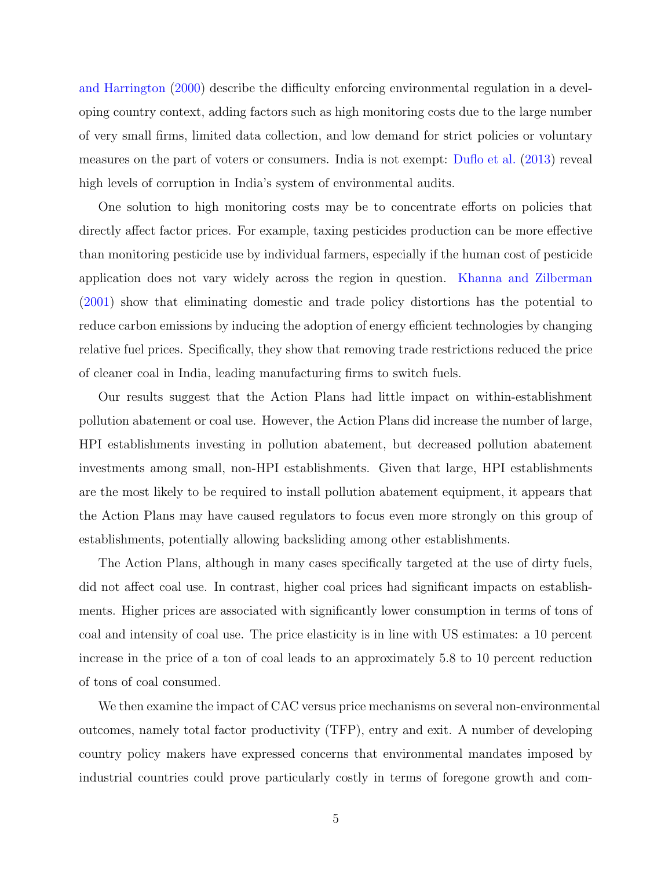[and Harrington](#page-40-4) [\(2000\)](#page-40-4) describe the difficulty enforcing environmental regulation in a developing country context, adding factors such as high monitoring costs due to the large number of very small firms, limited data collection, and low demand for strict policies or voluntary measures on the part of voters or consumers. India is not exempt: [Duflo et al.](#page-40-1) [\(2013\)](#page-40-1) reveal high levels of corruption in India's system of environmental audits.

One solution to high monitoring costs may be to concentrate efforts on policies that directly affect factor prices. For example, taxing pesticides production can be more effective than monitoring pesticide use by individual farmers, especially if the human cost of pesticide application does not vary widely across the region in question. [Khanna and Zilberman](#page-42-2) [\(2001\)](#page-42-2) show that eliminating domestic and trade policy distortions has the potential to reduce carbon emissions by inducing the adoption of energy efficient technologies by changing relative fuel prices. Specifically, they show that removing trade restrictions reduced the price of cleaner coal in India, leading manufacturing firms to switch fuels.

Our results suggest that the Action Plans had little impact on within-establishment pollution abatement or coal use. However, the Action Plans did increase the number of large, HPI establishments investing in pollution abatement, but decreased pollution abatement investments among small, non-HPI establishments. Given that large, HPI establishments are the most likely to be required to install pollution abatement equipment, it appears that the Action Plans may have caused regulators to focus even more strongly on this group of establishments, potentially allowing backsliding among other establishments.

The Action Plans, although in many cases specifically targeted at the use of dirty fuels, did not affect coal use. In contrast, higher coal prices had significant impacts on establishments. Higher prices are associated with significantly lower consumption in terms of tons of coal and intensity of coal use. The price elasticity is in line with US estimates: a 10 percent increase in the price of a ton of coal leads to an approximately 5.8 to 10 percent reduction of tons of coal consumed.

We then examine the impact of CAC versus price mechanisms on several non-environmental outcomes, namely total factor productivity (TFP), entry and exit. A number of developing country policy makers have expressed concerns that environmental mandates imposed by industrial countries could prove particularly costly in terms of foregone growth and com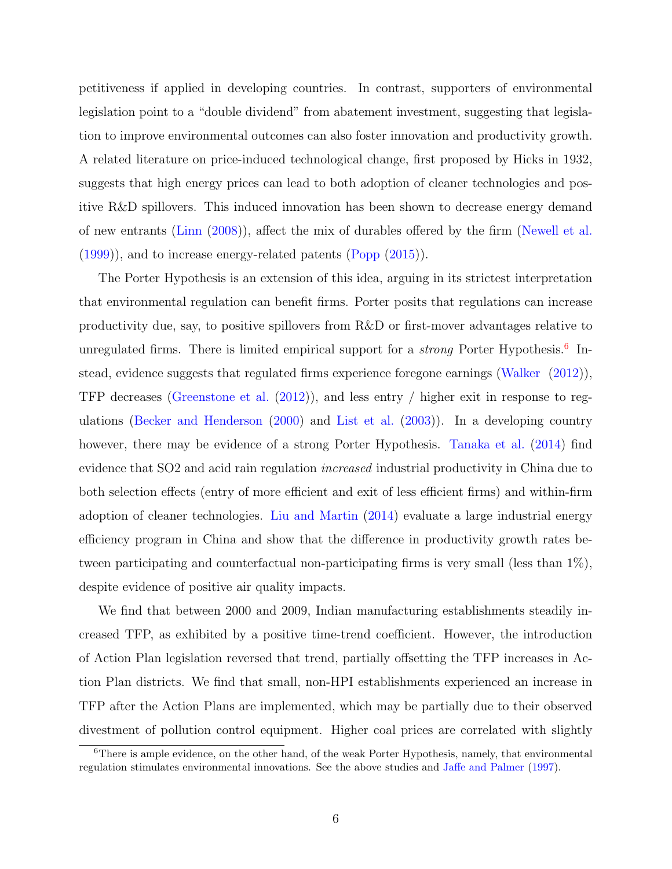petitiveness if applied in developing countries. In contrast, supporters of environmental legislation point to a "double dividend" from abatement investment, suggesting that legislation to improve environmental outcomes can also foster innovation and productivity growth. A related literature on price-induced technological change, first proposed by Hicks in 1932, suggests that high energy prices can lead to both adoption of cleaner technologies and positive R&D spillovers. This induced innovation has been shown to decrease energy demand of new entrants [\(Linn](#page-42-3) [\(2008\)](#page-42-3)), affect the mix of durables offered by the firm [\(Newell et al.](#page-42-4)  $(1999)$ , and to increase energy-related patents  $(Popp(2015))$  $(Popp(2015))$  $(Popp(2015))$ .

The Porter Hypothesis is an extension of this idea, arguing in its strictest interpretation that environmental regulation can benefit firms. Porter posits that regulations can increase productivity due, say, to positive spillovers from R&D or first-mover advantages relative to unregulated firms. There is limited empirical support for a *strong* Porter Hypothesis.<sup>[6](#page-6-0)</sup> Instead, evidence suggests that regulated firms experience foregone earnings [\(Walker](#page-43-1) [\(2012\)](#page-43-1)), TFP decreases [\(Greenstone et al.](#page-41-5) [\(2012\)](#page-41-5)), and less entry / higher exit in response to regulations [\(Becker and Henderson](#page-40-6) [\(2000\)](#page-40-6) and [List et al.](#page-42-5) [\(2003\)](#page-42-5)). In a developing country however, there may be evidence of a strong Porter Hypothesis. [Tanaka et al.](#page-43-2) [\(2014\)](#page-43-2) find evidence that SO2 and acid rain regulation *increased* industrial productivity in China due to both selection effects (entry of more efficient and exit of less efficient firms) and within-firm adoption of cleaner technologies. [Liu and Martin](#page-42-6) [\(2014\)](#page-42-6) evaluate a large industrial energy efficiency program in China and show that the difference in productivity growth rates between participating and counterfactual non-participating firms is very small (less than 1%), despite evidence of positive air quality impacts.

We find that between 2000 and 2009, Indian manufacturing establishments steadily increased TFP, as exhibited by a positive time-trend coefficient. However, the introduction of Action Plan legislation reversed that trend, partially offsetting the TFP increases in Action Plan districts. We find that small, non-HPI establishments experienced an increase in TFP after the Action Plans are implemented, which may be partially due to their observed divestment of pollution control equipment. Higher coal prices are correlated with slightly

<span id="page-6-0"></span><sup>&</sup>lt;sup>6</sup>There is ample evidence, on the other hand, of the weak Porter Hypothesis, namely, that environmental regulation stimulates environmental innovations. See the above studies and [Jaffe and Palmer](#page-42-7) [\(1997\)](#page-42-7).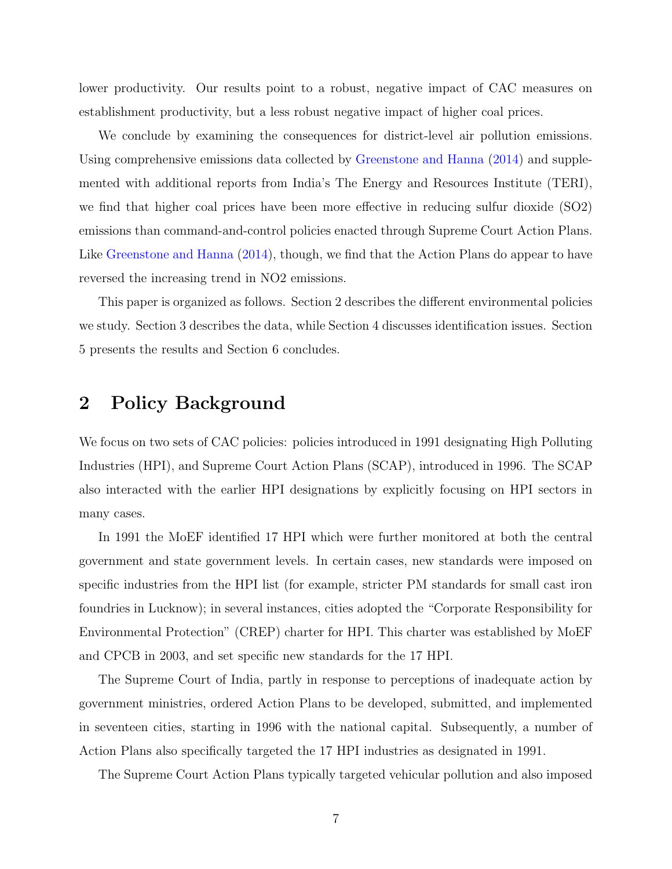lower productivity. Our results point to a robust, negative impact of CAC measures on establishment productivity, but a less robust negative impact of higher coal prices.

We conclude by examining the consequences for district-level air pollution emissions. Using comprehensive emissions data collected by [Greenstone and Hanna](#page-41-1) [\(2014\)](#page-41-1) and supplemented with additional reports from India's The Energy and Resources Institute (TERI), we find that higher coal prices have been more effective in reducing sulfur dioxide (SO2) emissions than command-and-control policies enacted through Supreme Court Action Plans. Like [Greenstone and Hanna](#page-41-1) [\(2014\)](#page-41-1), though, we find that the Action Plans do appear to have reversed the increasing trend in NO2 emissions.

This paper is organized as follows. Section 2 describes the different environmental policies we study. Section 3 describes the data, while Section 4 discusses identification issues. Section 5 presents the results and Section 6 concludes.

## 2 Policy Background

We focus on two sets of CAC policies: policies introduced in 1991 designating High Polluting Industries (HPI), and Supreme Court Action Plans (SCAP), introduced in 1996. The SCAP also interacted with the earlier HPI designations by explicitly focusing on HPI sectors in many cases.

In 1991 the MoEF identified 17 HPI which were further monitored at both the central government and state government levels. In certain cases, new standards were imposed on specific industries from the HPI list (for example, stricter PM standards for small cast iron foundries in Lucknow); in several instances, cities adopted the "Corporate Responsibility for Environmental Protection" (CREP) charter for HPI. This charter was established by MoEF and CPCB in 2003, and set specific new standards for the 17 HPI.

The Supreme Court of India, partly in response to perceptions of inadequate action by government ministries, ordered Action Plans to be developed, submitted, and implemented in seventeen cities, starting in 1996 with the national capital. Subsequently, a number of Action Plans also specifically targeted the 17 HPI industries as designated in 1991.

The Supreme Court Action Plans typically targeted vehicular pollution and also imposed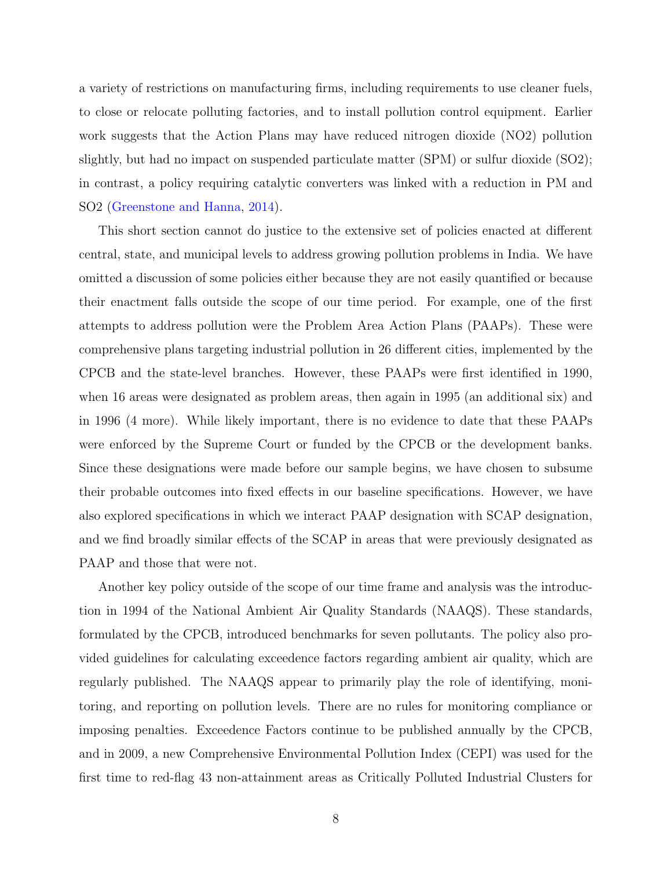a variety of restrictions on manufacturing firms, including requirements to use cleaner fuels, to close or relocate polluting factories, and to install pollution control equipment. Earlier work suggests that the Action Plans may have reduced nitrogen dioxide (NO2) pollution slightly, but had no impact on suspended particulate matter (SPM) or sulfur dioxide (SO2); in contrast, a policy requiring catalytic converters was linked with a reduction in PM and SO2 [\(Greenstone and Hanna,](#page-41-1) [2014\)](#page-41-1).

This short section cannot do justice to the extensive set of policies enacted at different central, state, and municipal levels to address growing pollution problems in India. We have omitted a discussion of some policies either because they are not easily quantified or because their enactment falls outside the scope of our time period. For example, one of the first attempts to address pollution were the Problem Area Action Plans (PAAPs). These were comprehensive plans targeting industrial pollution in 26 different cities, implemented by the CPCB and the state-level branches. However, these PAAPs were first identified in 1990, when 16 areas were designated as problem areas, then again in 1995 (an additional six) and in 1996 (4 more). While likely important, there is no evidence to date that these PAAPs were enforced by the Supreme Court or funded by the CPCB or the development banks. Since these designations were made before our sample begins, we have chosen to subsume their probable outcomes into fixed effects in our baseline specifications. However, we have also explored specifications in which we interact PAAP designation with SCAP designation, and we find broadly similar effects of the SCAP in areas that were previously designated as PAAP and those that were not.

Another key policy outside of the scope of our time frame and analysis was the introduction in 1994 of the National Ambient Air Quality Standards (NAAQS). These standards, formulated by the CPCB, introduced benchmarks for seven pollutants. The policy also provided guidelines for calculating exceedence factors regarding ambient air quality, which are regularly published. The NAAQS appear to primarily play the role of identifying, monitoring, and reporting on pollution levels. There are no rules for monitoring compliance or imposing penalties. Exceedence Factors continue to be published annually by the CPCB, and in 2009, a new Comprehensive Environmental Pollution Index (CEPI) was used for the first time to red-flag 43 non-attainment areas as Critically Polluted Industrial Clusters for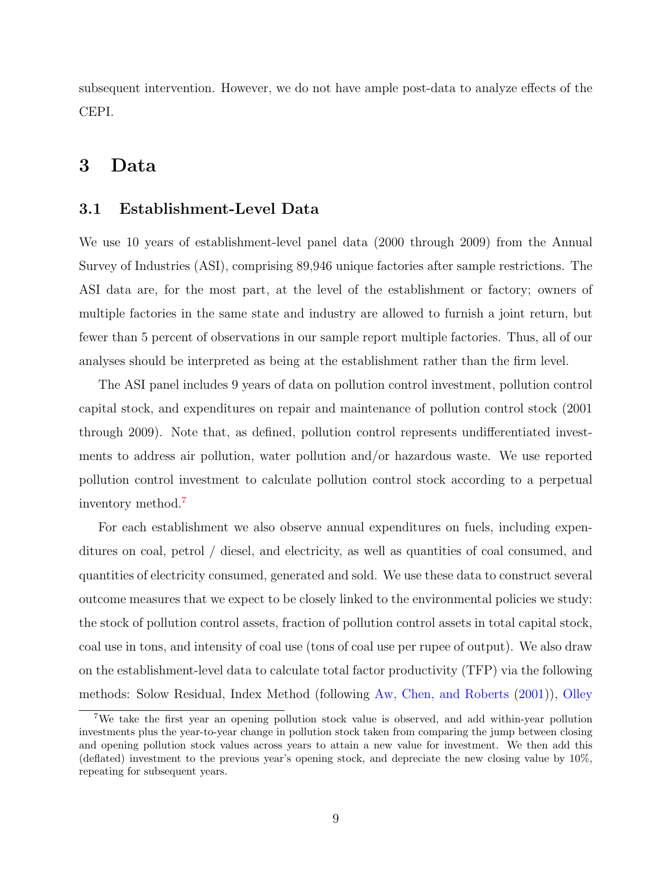subsequent intervention. However, we do not have ample post-data to analyze effects of the CEPI.

## 3 Data

#### 3.1 Establishment-Level Data

We use 10 years of establishment-level panel data (2000 through 2009) from the Annual Survey of Industries (ASI), comprising 89,946 unique factories after sample restrictions. The ASI data are, for the most part, at the level of the establishment or factory; owners of multiple factories in the same state and industry are allowed to furnish a joint return, but fewer than 5 percent of observations in our sample report multiple factories. Thus, all of our analyses should be interpreted as being at the establishment rather than the firm level.

The ASI panel includes 9 years of data on pollution control investment, pollution control capital stock, and expenditures on repair and maintenance of pollution control stock (2001 through 2009). Note that, as defined, pollution control represents undifferentiated investments to address air pollution, water pollution and/or hazardous waste. We use reported pollution control investment to calculate pollution control stock according to a perpetual inventory method.<sup>[7](#page-9-0)</sup>

For each establishment we also observe annual expenditures on fuels, including expenditures on coal, petrol / diesel, and electricity, as well as quantities of coal consumed, and quantities of electricity consumed, generated and sold. We use these data to construct several outcome measures that we expect to be closely linked to the environmental policies we study: the stock of pollution control assets, fraction of pollution control assets in total capital stock, coal use in tons, and intensity of coal use (tons of coal use per rupee of output). We also draw on the establishment-level data to calculate total factor productivity (TFP) via the following methods: Solow Residual, Index Method (following [Aw, Chen, and Roberts](#page-40-7) [\(2001\)](#page-40-7)), [Olley](#page-43-3)

<span id="page-9-0"></span><sup>7</sup>[We take the first year an opening pollution stock value is observed, and add within-year pollution](#page-43-3) [investments plus the year-to-year change in pollution stock taken from comparing the jump between closing](#page-43-3) [and opening pollution stock values across years to attain a new value for investment. We then add this](#page-43-3) [\(deflated\) investment to the previous year's opening stock, and depreciate the new closing value by 10%,](#page-43-3) [repeating for subsequent years.](#page-43-3)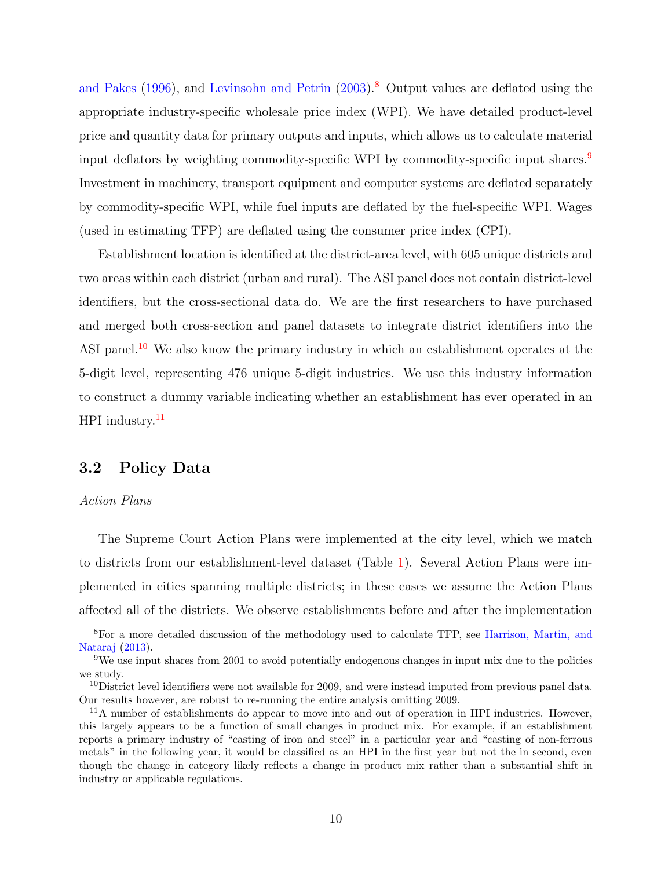[and Pakes](#page-43-3) [\(1996\)](#page-43-3), and [Levinsohn and Petrin](#page-42-8) [\(2003\)](#page-42-8).<sup>[8](#page-10-0)</sup> Output values are deflated using the appropriate industry-specific wholesale price index (WPI). We have detailed product-level price and quantity data for primary outputs and inputs, which allows us to calculate material input deflators by weighting commodity-specific WPI by commodity-specific input shares.<sup>[9](#page-10-1)</sup> Investment in machinery, transport equipment and computer systems are deflated separately by commodity-specific WPI, while fuel inputs are deflated by the fuel-specific WPI. Wages (used in estimating TFP) are deflated using the consumer price index (CPI).

Establishment location is identified at the district-area level, with 605 unique districts and two areas within each district (urban and rural). The ASI panel does not contain district-level identifiers, but the cross-sectional data do. We are the first researchers to have purchased and merged both cross-section and panel datasets to integrate district identifiers into the ASI panel.<sup>[10](#page-10-2)</sup> We also know the primary industry in which an establishment operates at the 5-digit level, representing 476 unique 5-digit industries. We use this industry information to construct a dummy variable indicating whether an establishment has ever operated in an  $HPI$  industry.<sup>[11](#page-10-3)</sup>

#### 3.2 Policy Data

#### Action Plans

The Supreme Court Action Plans were implemented at the city level, which we match to districts from our establishment-level dataset (Table [1\)](#page-30-0). Several Action Plans were implemented in cities spanning multiple districts; in these cases we assume the Action Plans affected all of the districts. We observe establishments before and after the implementation

<span id="page-10-0"></span><sup>8</sup>For a more detailed discussion of the methodology used to calculate TFP, see [Harrison, Martin, and](#page-41-6) [Nataraj](#page-41-6) [\(2013\)](#page-41-6).

<span id="page-10-1"></span><sup>9</sup>We use input shares from 2001 to avoid potentially endogenous changes in input mix due to the policies we study.

<span id="page-10-2"></span> $10$ District level identifiers were not available for 2009, and were instead imputed from previous panel data. Our results however, are robust to re-running the entire analysis omitting 2009.

<span id="page-10-3"></span><sup>&</sup>lt;sup>11</sup>A number of establishments do appear to move into and out of operation in HPI industries. However, this largely appears to be a function of small changes in product mix. For example, if an establishment reports a primary industry of "casting of iron and steel" in a particular year and "casting of non-ferrous metals" in the following year, it would be classified as an HPI in the first year but not the in second, even though the change in category likely reflects a change in product mix rather than a substantial shift in industry or applicable regulations.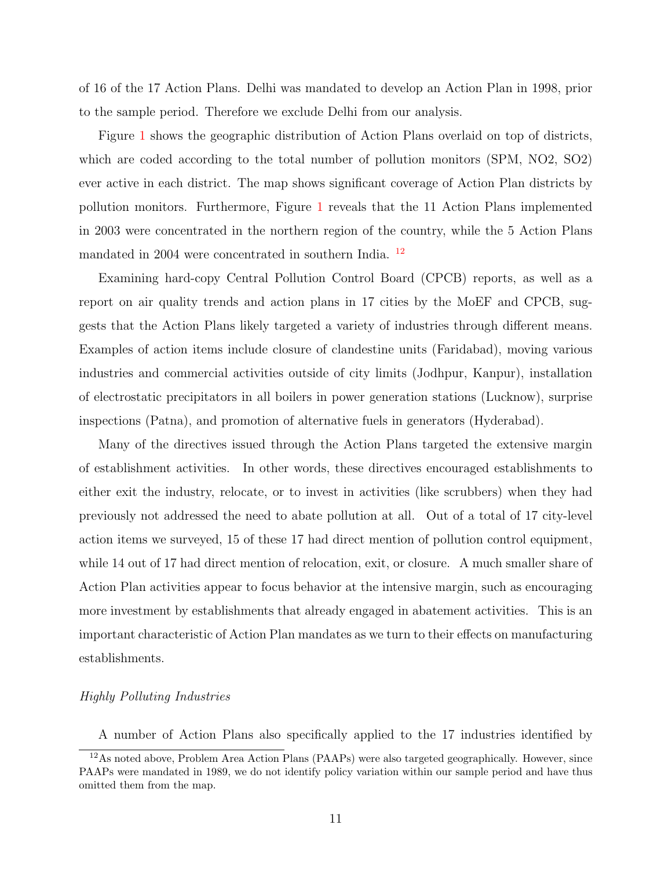of 16 of the 17 Action Plans. Delhi was mandated to develop an Action Plan in 1998, prior to the sample period. Therefore we exclude Delhi from our analysis.

Figure [1](#page-28-0) shows the geographic distribution of Action Plans overlaid on top of districts, which are coded according to the total number of pollution monitors (SPM, NO2, SO2) ever active in each district. The map shows significant coverage of Action Plan districts by pollution monitors. Furthermore, Figure [1](#page-28-0) reveals that the 11 Action Plans implemented in 2003 were concentrated in the northern region of the country, while the 5 Action Plans mandated in 2004 were concentrated in southern India. [12](#page-11-0)

Examining hard-copy Central Pollution Control Board (CPCB) reports, as well as a report on air quality trends and action plans in 17 cities by the MoEF and CPCB, suggests that the Action Plans likely targeted a variety of industries through different means. Examples of action items include closure of clandestine units (Faridabad), moving various industries and commercial activities outside of city limits (Jodhpur, Kanpur), installation of electrostatic precipitators in all boilers in power generation stations (Lucknow), surprise inspections (Patna), and promotion of alternative fuels in generators (Hyderabad).

Many of the directives issued through the Action Plans targeted the extensive margin of establishment activities. In other words, these directives encouraged establishments to either exit the industry, relocate, or to invest in activities (like scrubbers) when they had previously not addressed the need to abate pollution at all. Out of a total of 17 city-level action items we surveyed, 15 of these 17 had direct mention of pollution control equipment, while 14 out of 17 had direct mention of relocation, exit, or closure. A much smaller share of Action Plan activities appear to focus behavior at the intensive margin, such as encouraging more investment by establishments that already engaged in abatement activities. This is an important characteristic of Action Plan mandates as we turn to their effects on manufacturing establishments.

#### Highly Polluting Industries

<span id="page-11-0"></span>A number of Action Plans also specifically applied to the 17 industries identified by

<sup>12</sup>As noted above, Problem Area Action Plans (PAAPs) were also targeted geographically. However, since PAAPs were mandated in 1989, we do not identify policy variation within our sample period and have thus omitted them from the map.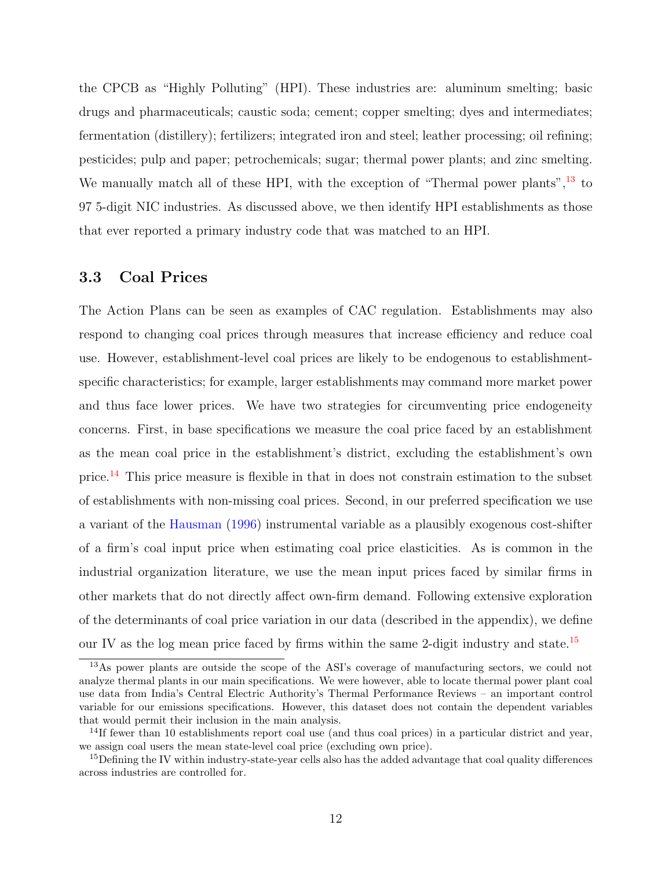the CPCB as "Highly Polluting" (HPI). These industries are: aluminum smelting; basic drugs and pharmaceuticals; caustic soda; cement; copper smelting; dyes and intermediates; fermentation (distillery); fertilizers; integrated iron and steel; leather processing; oil refining; pesticides; pulp and paper; petrochemicals; sugar; thermal power plants; and zinc smelting. We manually match all of these HPI, with the exception of "Thermal power plants",  $^{13}$  $^{13}$  $^{13}$  to 97 5-digit NIC industries. As discussed above, we then identify HPI establishments as those that ever reported a primary industry code that was matched to an HPI.

#### 3.3 Coal Prices

The Action Plans can be seen as examples of CAC regulation. Establishments may also respond to changing coal prices through measures that increase efficiency and reduce coal use. However, establishment-level coal prices are likely to be endogenous to establishmentspecific characteristics; for example, larger establishments may command more market power and thus face lower prices. We have two strategies for circumventing price endogeneity concerns. First, in base specifications we measure the coal price faced by an establishment as the mean coal price in the establishment's district, excluding the establishment's own price.[14](#page-12-1) This price measure is flexible in that in does not constrain estimation to the subset of establishments with non-missing coal prices. Second, in our preferred specification we use a variant of the [Hausman](#page-41-7) [\(1996\)](#page-41-7) instrumental variable as a plausibly exogenous cost-shifter of a firm's coal input price when estimating coal price elasticities. As is common in the industrial organization literature, we use the mean input prices faced by similar firms in other markets that do not directly affect own-firm demand. Following extensive exploration of the determinants of coal price variation in our data (described in the appendix), we define our IV as the log mean price faced by firms within the same 2-digit industry and state.<sup>[15](#page-12-2)</sup>

<span id="page-12-0"></span><sup>13</sup>As power plants are outside the scope of the ASI's coverage of manufacturing sectors, we could not analyze thermal plants in our main specifications. We were however, able to locate thermal power plant coal use data from India's Central Electric Authority's Thermal Performance Reviews – an important control variable for our emissions specifications. However, this dataset does not contain the dependent variables that would permit their inclusion in the main analysis.

<span id="page-12-1"></span><sup>&</sup>lt;sup>14</sup>If fewer than 10 establishments report coal use (and thus coal prices) in a particular district and year, we assign coal users the mean state-level coal price (excluding own price).

<span id="page-12-2"></span><sup>&</sup>lt;sup>15</sup>Defining the IV within industry-state-year cells also has the added advantage that coal quality differences across industries are controlled for.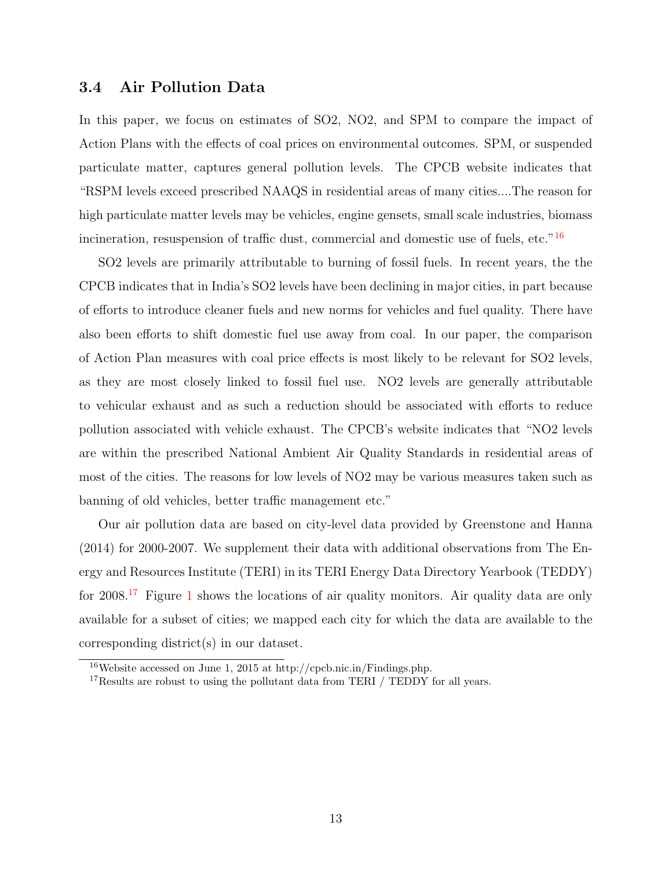#### 3.4 Air Pollution Data

In this paper, we focus on estimates of SO2, NO2, and SPM to compare the impact of Action Plans with the effects of coal prices on environmental outcomes. SPM, or suspended particulate matter, captures general pollution levels. The CPCB website indicates that "RSPM levels exceed prescribed NAAQS in residential areas of many cities....The reason for high particulate matter levels may be vehicles, engine gensets, small scale industries, biomass incineration, resuspension of traffic dust, commercial and domestic use of fuels, etc."<sup>[16](#page-13-0)</sup>

SO2 levels are primarily attributable to burning of fossil fuels. In recent years, the the CPCB indicates that in India's SO2 levels have been declining in major cities, in part because of efforts to introduce cleaner fuels and new norms for vehicles and fuel quality. There have also been efforts to shift domestic fuel use away from coal. In our paper, the comparison of Action Plan measures with coal price effects is most likely to be relevant for SO2 levels, as they are most closely linked to fossil fuel use. NO2 levels are generally attributable to vehicular exhaust and as such a reduction should be associated with efforts to reduce pollution associated with vehicle exhaust. The CPCB's website indicates that "NO2 levels are within the prescribed National Ambient Air Quality Standards in residential areas of most of the cities. The reasons for low levels of NO2 may be various measures taken such as banning of old vehicles, better traffic management etc."

Our air pollution data are based on city-level data provided by Greenstone and Hanna (2014) for 2000-2007. We supplement their data with additional observations from The Energy and Resources Institute (TERI) in its TERI Energy Data Directory Yearbook (TEDDY) for  $2008<sup>17</sup>$  $2008<sup>17</sup>$  $2008<sup>17</sup>$  Figure [1](#page-28-0) shows the locations of air quality monitors. Air quality data are only available for a subset of cities; we mapped each city for which the data are available to the corresponding district(s) in our dataset.

<span id="page-13-0"></span><sup>16</sup>Website accessed on June 1, 2015 at http://cpcb.nic.in/Findings.php.

<span id="page-13-1"></span> $17$ Results are robust to using the pollutant data from TERI / TEDDY for all years.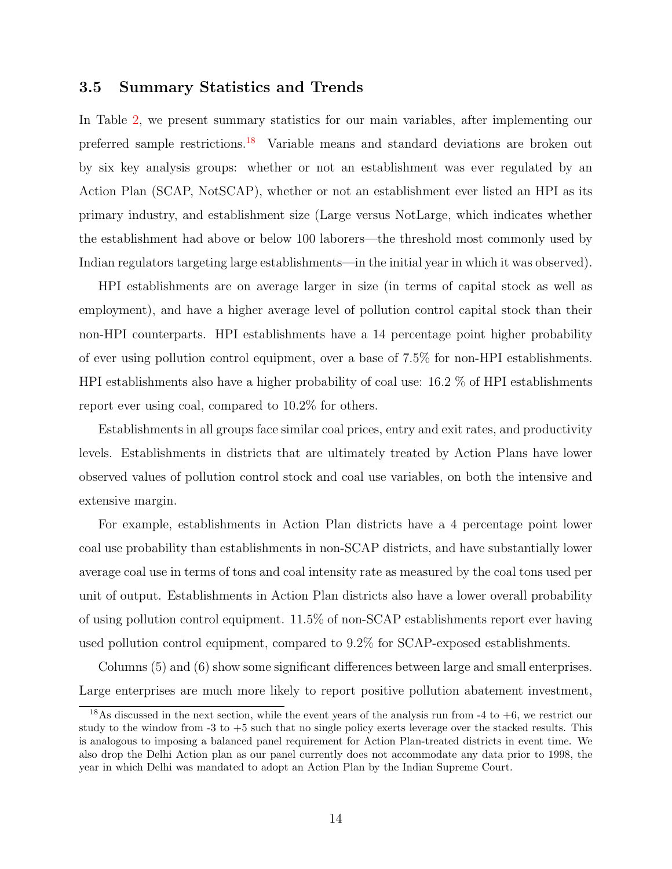#### 3.5 Summary Statistics and Trends

In Table [2,](#page-31-0) we present summary statistics for our main variables, after implementing our preferred sample restrictions.<sup>[18](#page-14-0)</sup> Variable means and standard deviations are broken out by six key analysis groups: whether or not an establishment was ever regulated by an Action Plan (SCAP, NotSCAP), whether or not an establishment ever listed an HPI as its primary industry, and establishment size (Large versus NotLarge, which indicates whether the establishment had above or below 100 laborers—the threshold most commonly used by Indian regulators targeting large establishments—in the initial year in which it was observed).

HPI establishments are on average larger in size (in terms of capital stock as well as employment), and have a higher average level of pollution control capital stock than their non-HPI counterparts. HPI establishments have a 14 percentage point higher probability of ever using pollution control equipment, over a base of 7.5% for non-HPI establishments. HPI establishments also have a higher probability of coal use: 16.2 % of HPI establishments report ever using coal, compared to 10.2% for others.

Establishments in all groups face similar coal prices, entry and exit rates, and productivity levels. Establishments in districts that are ultimately treated by Action Plans have lower observed values of pollution control stock and coal use variables, on both the intensive and extensive margin.

For example, establishments in Action Plan districts have a 4 percentage point lower coal use probability than establishments in non-SCAP districts, and have substantially lower average coal use in terms of tons and coal intensity rate as measured by the coal tons used per unit of output. Establishments in Action Plan districts also have a lower overall probability of using pollution control equipment. 11.5% of non-SCAP establishments report ever having used pollution control equipment, compared to 9.2% for SCAP-exposed establishments.

Columns (5) and (6) show some significant differences between large and small enterprises. Large enterprises are much more likely to report positive pollution abatement investment,

<span id="page-14-0"></span><sup>&</sup>lt;sup>18</sup>As discussed in the next section, while the event years of the analysis run from -4 to  $+6$ , we restrict our study to the window from -3 to +5 such that no single policy exerts leverage over the stacked results. This is analogous to imposing a balanced panel requirement for Action Plan-treated districts in event time. We also drop the Delhi Action plan as our panel currently does not accommodate any data prior to 1998, the year in which Delhi was mandated to adopt an Action Plan by the Indian Supreme Court.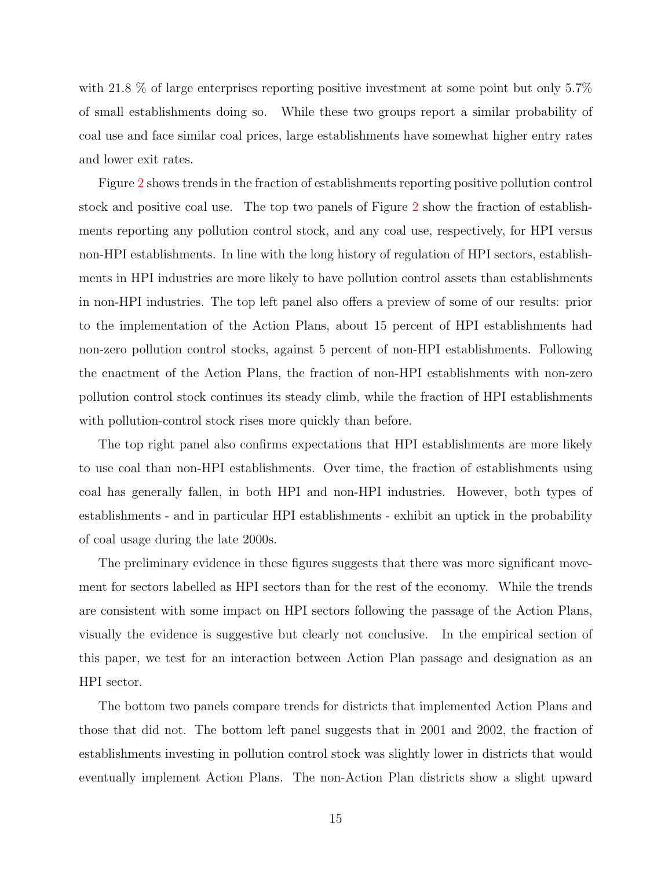with 21.8 % of large enterprises reporting positive investment at some point but only 5.7% of small establishments doing so. While these two groups report a similar probability of coal use and face similar coal prices, large establishments have somewhat higher entry rates and lower exit rates.

Figure [2](#page-29-0) shows trends in the fraction of establishments reporting positive pollution control stock and positive coal use. The top two panels of Figure [2](#page-29-0) show the fraction of establishments reporting any pollution control stock, and any coal use, respectively, for HPI versus non-HPI establishments. In line with the long history of regulation of HPI sectors, establishments in HPI industries are more likely to have pollution control assets than establishments in non-HPI industries. The top left panel also offers a preview of some of our results: prior to the implementation of the Action Plans, about 15 percent of HPI establishments had non-zero pollution control stocks, against 5 percent of non-HPI establishments. Following the enactment of the Action Plans, the fraction of non-HPI establishments with non-zero pollution control stock continues its steady climb, while the fraction of HPI establishments with pollution-control stock rises more quickly than before.

The top right panel also confirms expectations that HPI establishments are more likely to use coal than non-HPI establishments. Over time, the fraction of establishments using coal has generally fallen, in both HPI and non-HPI industries. However, both types of establishments - and in particular HPI establishments - exhibit an uptick in the probability of coal usage during the late 2000s.

The preliminary evidence in these figures suggests that there was more significant movement for sectors labelled as HPI sectors than for the rest of the economy. While the trends are consistent with some impact on HPI sectors following the passage of the Action Plans, visually the evidence is suggestive but clearly not conclusive. In the empirical section of this paper, we test for an interaction between Action Plan passage and designation as an HPI sector.

The bottom two panels compare trends for districts that implemented Action Plans and those that did not. The bottom left panel suggests that in 2001 and 2002, the fraction of establishments investing in pollution control stock was slightly lower in districts that would eventually implement Action Plans. The non-Action Plan districts show a slight upward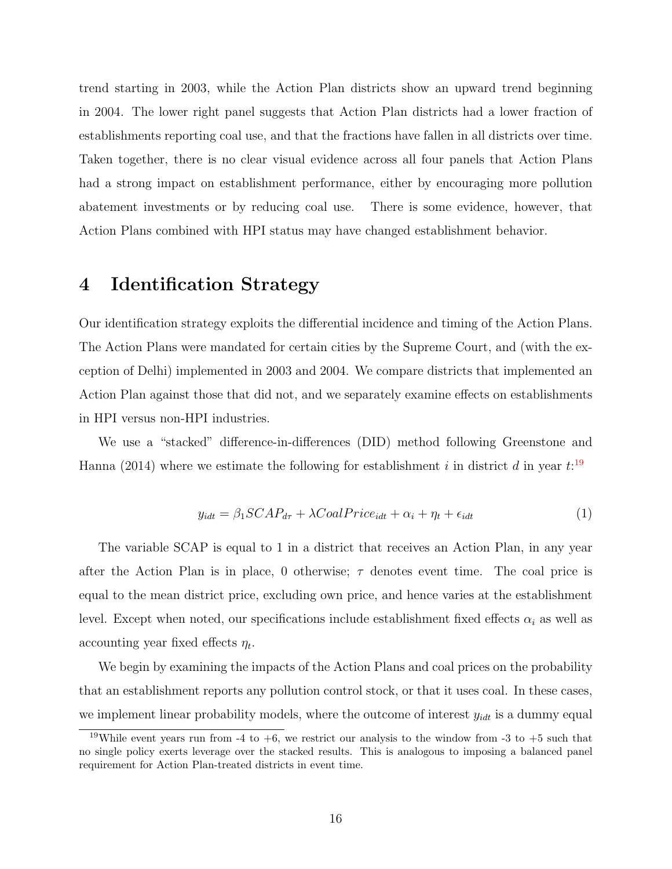trend starting in 2003, while the Action Plan districts show an upward trend beginning in 2004. The lower right panel suggests that Action Plan districts had a lower fraction of establishments reporting coal use, and that the fractions have fallen in all districts over time. Taken together, there is no clear visual evidence across all four panels that Action Plans had a strong impact on establishment performance, either by encouraging more pollution abatement investments or by reducing coal use. There is some evidence, however, that Action Plans combined with HPI status may have changed establishment behavior.

## 4 Identification Strategy

Our identification strategy exploits the differential incidence and timing of the Action Plans. The Action Plans were mandated for certain cities by the Supreme Court, and (with the exception of Delhi) implemented in 2003 and 2004. We compare districts that implemented an Action Plan against those that did not, and we separately examine effects on establishments in HPI versus non-HPI industries.

<span id="page-16-1"></span>We use a "stacked" difference-in-differences (DID) method following Greenstone and Hanna (2014) where we estimate the following for establishment i in district d in year  $t:$ <sup>[19](#page-16-0)</sup>

$$
y_{idt} = \beta_1 SCAP_{d\tau} + \lambda CoalPrice_{idt} + \alpha_i + \eta_t + \epsilon_{idt}
$$
\n
$$
\tag{1}
$$

The variable SCAP is equal to 1 in a district that receives an Action Plan, in any year after the Action Plan is in place, 0 otherwise;  $\tau$  denotes event time. The coal price is equal to the mean district price, excluding own price, and hence varies at the establishment level. Except when noted, our specifications include establishment fixed effects  $\alpha_i$  as well as accounting year fixed effects  $\eta_t$ .

We begin by examining the impacts of the Action Plans and coal prices on the probability that an establishment reports any pollution control stock, or that it uses coal. In these cases, we implement linear probability models, where the outcome of interest  $y_{idt}$  is a dummy equal

<span id="page-16-0"></span><sup>&</sup>lt;sup>19</sup>While event years run from -4 to +6, we restrict our analysis to the window from -3 to +5 such that no single policy exerts leverage over the stacked results. This is analogous to imposing a balanced panel requirement for Action Plan-treated districts in event time.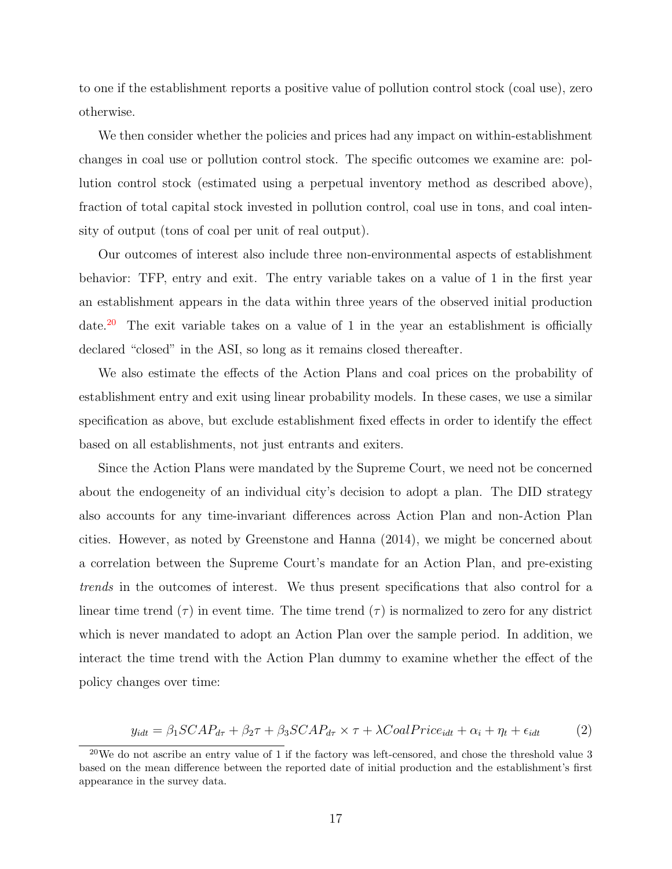to one if the establishment reports a positive value of pollution control stock (coal use), zero otherwise.

We then consider whether the policies and prices had any impact on within-establishment changes in coal use or pollution control stock. The specific outcomes we examine are: pollution control stock (estimated using a perpetual inventory method as described above), fraction of total capital stock invested in pollution control, coal use in tons, and coal intensity of output (tons of coal per unit of real output).

Our outcomes of interest also include three non-environmental aspects of establishment behavior: TFP, entry and exit. The entry variable takes on a value of 1 in the first year an establishment appears in the data within three years of the observed initial production date.<sup>[20](#page-17-0)</sup> The exit variable takes on a value of 1 in the year an establishment is officially declared "closed" in the ASI, so long as it remains closed thereafter.

We also estimate the effects of the Action Plans and coal prices on the probability of establishment entry and exit using linear probability models. In these cases, we use a similar specification as above, but exclude establishment fixed effects in order to identify the effect based on all establishments, not just entrants and exiters.

Since the Action Plans were mandated by the Supreme Court, we need not be concerned about the endogeneity of an individual city's decision to adopt a plan. The DID strategy also accounts for any time-invariant differences across Action Plan and non-Action Plan cities. However, as noted by Greenstone and Hanna (2014), we might be concerned about a correlation between the Supreme Court's mandate for an Action Plan, and pre-existing trends in the outcomes of interest. We thus present specifications that also control for a linear time trend  $(\tau)$  in event time. The time trend  $(\tau)$  is normalized to zero for any district which is never mandated to adopt an Action Plan over the sample period. In addition, we interact the time trend with the Action Plan dummy to examine whether the effect of the policy changes over time:

$$
y_{idt} = \beta_1 SCAP_{d\tau} + \beta_2 \tau + \beta_3 SCAP_{d\tau} \times \tau + \lambda coalPrice_{idt} + \alpha_i + \eta_t + \epsilon_{idt}
$$
 (2)

<span id="page-17-1"></span><span id="page-17-0"></span> $^{20}$ We do not ascribe an entry value of 1 if the factory was left-censored, and chose the threshold value 3 based on the mean difference between the reported date of initial production and the establishment's first appearance in the survey data.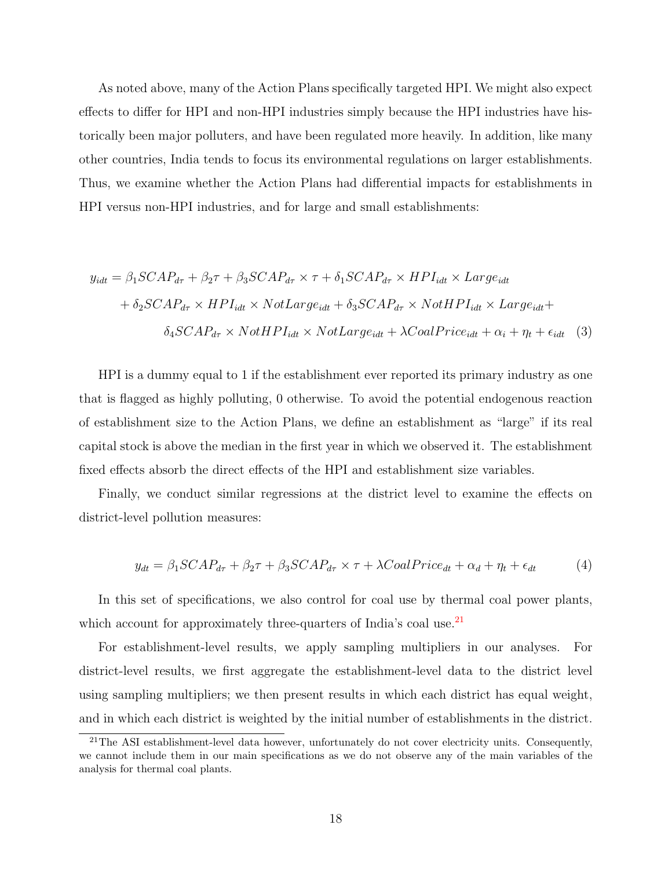As noted above, many of the Action Plans specifically targeted HPI. We might also expect effects to differ for HPI and non-HPI industries simply because the HPI industries have historically been major polluters, and have been regulated more heavily. In addition, like many other countries, India tends to focus its environmental regulations on larger establishments. Thus, we examine whether the Action Plans had differential impacts for establishments in HPI versus non-HPI industries, and for large and small establishments:

$$
y_{idt} = \beta_1 SCAP_{d\tau} + \beta_2 \tau + \beta_3 SCAP_{d\tau} \times \tau + \delta_1 SCAP_{d\tau} \times HPI_{idt} \times Large_{idt}
$$

$$
+ \delta_2 SCAP_{d\tau} \times HPI_{idt} \times NotLarge_{idt} + \delta_3 SCAP_{d\tau} \times NotHPI_{idt} \times Large_{idt} + \delta_4 SCAP_{d\tau} \times NotHPI_{idt} \times NotLarge_{idt} + \lambda coalPrice_{idt} + \alpha_i + \eta_t + \epsilon_{idt} \quad (3)
$$

HPI is a dummy equal to 1 if the establishment ever reported its primary industry as one that is flagged as highly polluting, 0 otherwise. To avoid the potential endogenous reaction of establishment size to the Action Plans, we define an establishment as "large" if its real capital stock is above the median in the first year in which we observed it. The establishment fixed effects absorb the direct effects of the HPI and establishment size variables.

Finally, we conduct similar regressions at the district level to examine the effects on district-level pollution measures:

$$
y_{dt} = \beta_1 SCAP_{d\tau} + \beta_2 \tau + \beta_3 SCAP_{d\tau} \times \tau + \lambda coalPrice_{dt} + \alpha_d + \eta_t + \epsilon_{dt}
$$
 (4)

In this set of specifications, we also control for coal use by thermal coal power plants, which account for approximately three-quarters of India's coal use.<sup>[21](#page-18-0)</sup>

For establishment-level results, we apply sampling multipliers in our analyses. For district-level results, we first aggregate the establishment-level data to the district level using sampling multipliers; we then present results in which each district has equal weight, and in which each district is weighted by the initial number of establishments in the district.

<span id="page-18-0"></span><sup>&</sup>lt;sup>21</sup>The ASI establishment-level data however, unfortunately do not cover electricity units. Consequently, we cannot include them in our main specifications as we do not observe any of the main variables of the analysis for thermal coal plants.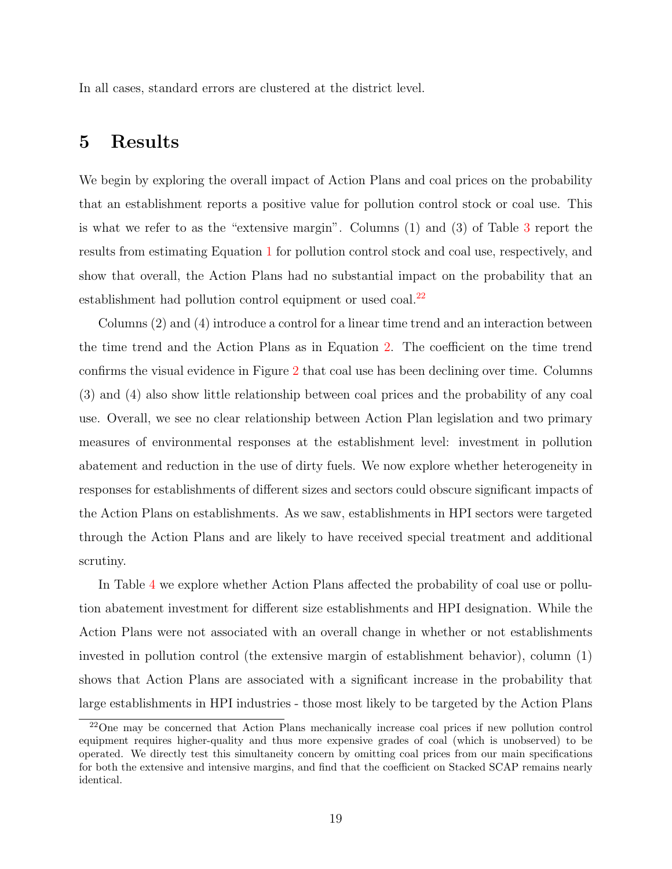In all cases, standard errors are clustered at the district level.

## 5 Results

We begin by exploring the overall impact of Action Plans and coal prices on the probability that an establishment reports a positive value for pollution control stock or coal use. This is what we refer to as the "extensive margin". Columns (1) and (3) of Table [3](#page-32-0) report the results from estimating Equation [1](#page-16-1) for pollution control stock and coal use, respectively, and show that overall, the Action Plans had no substantial impact on the probability that an establishment had pollution control equipment or used coal.<sup>[22](#page-19-0)</sup>

Columns (2) and (4) introduce a control for a linear time trend and an interaction between the time trend and the Action Plans as in Equation [2.](#page-17-1) The coefficient on the time trend confirms the visual evidence in Figure [2](#page-29-0) that coal use has been declining over time. Columns (3) and (4) also show little relationship between coal prices and the probability of any coal use. Overall, we see no clear relationship between Action Plan legislation and two primary measures of environmental responses at the establishment level: investment in pollution abatement and reduction in the use of dirty fuels. We now explore whether heterogeneity in responses for establishments of different sizes and sectors could obscure significant impacts of the Action Plans on establishments. As we saw, establishments in HPI sectors were targeted through the Action Plans and are likely to have received special treatment and additional scrutiny.

In Table [4](#page-33-0) we explore whether Action Plans affected the probability of coal use or pollution abatement investment for different size establishments and HPI designation. While the Action Plans were not associated with an overall change in whether or not establishments invested in pollution control (the extensive margin of establishment behavior), column (1) shows that Action Plans are associated with a significant increase in the probability that large establishments in HPI industries - those most likely to be targeted by the Action Plans

<span id="page-19-0"></span><sup>22</sup>One may be concerned that Action Plans mechanically increase coal prices if new pollution control equipment requires higher-quality and thus more expensive grades of coal (which is unobserved) to be operated. We directly test this simultaneity concern by omitting coal prices from our main specifications for both the extensive and intensive margins, and find that the coefficient on Stacked SCAP remains nearly identical.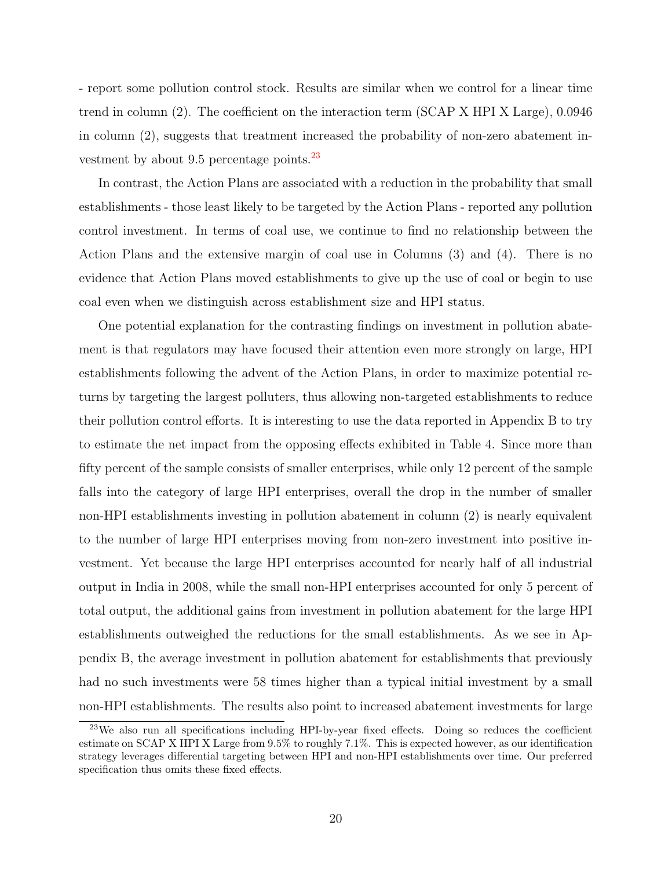- report some pollution control stock. Results are similar when we control for a linear time trend in column (2). The coefficient on the interaction term (SCAP X HPI X Large), 0.0946 in column (2), suggests that treatment increased the probability of non-zero abatement investment by about 9.5 percentage points. $^{23}$  $^{23}$  $^{23}$ 

In contrast, the Action Plans are associated with a reduction in the probability that small establishments - those least likely to be targeted by the Action Plans - reported any pollution control investment. In terms of coal use, we continue to find no relationship between the Action Plans and the extensive margin of coal use in Columns (3) and (4). There is no evidence that Action Plans moved establishments to give up the use of coal or begin to use coal even when we distinguish across establishment size and HPI status.

One potential explanation for the contrasting findings on investment in pollution abatement is that regulators may have focused their attention even more strongly on large, HPI establishments following the advent of the Action Plans, in order to maximize potential returns by targeting the largest polluters, thus allowing non-targeted establishments to reduce their pollution control efforts. It is interesting to use the data reported in Appendix B to try to estimate the net impact from the opposing effects exhibited in Table 4. Since more than fifty percent of the sample consists of smaller enterprises, while only 12 percent of the sample falls into the category of large HPI enterprises, overall the drop in the number of smaller non-HPI establishments investing in pollution abatement in column (2) is nearly equivalent to the number of large HPI enterprises moving from non-zero investment into positive investment. Yet because the large HPI enterprises accounted for nearly half of all industrial output in India in 2008, while the small non-HPI enterprises accounted for only 5 percent of total output, the additional gains from investment in pollution abatement for the large HPI establishments outweighed the reductions for the small establishments. As we see in Appendix B, the average investment in pollution abatement for establishments that previously had no such investments were 58 times higher than a typical initial investment by a small non-HPI establishments. The results also point to increased abatement investments for large

<span id="page-20-0"></span><sup>23</sup>We also run all specifications including HPI-by-year fixed effects. Doing so reduces the coefficient estimate on SCAP X HPI X Large from 9.5% to roughly 7.1%. This is expected however, as our identification strategy leverages differential targeting between HPI and non-HPI establishments over time. Our preferred specification thus omits these fixed effects.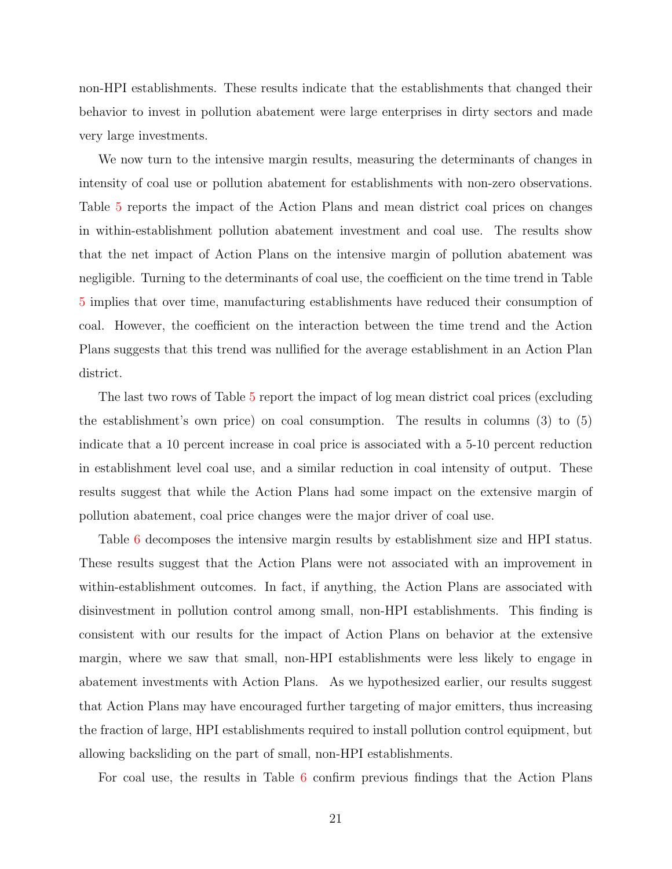non-HPI establishments. These results indicate that the establishments that changed their behavior to invest in pollution abatement were large enterprises in dirty sectors and made very large investments.

We now turn to the intensive margin results, measuring the determinants of changes in intensity of coal use or pollution abatement for establishments with non-zero observations. Table [5](#page-34-0) reports the impact of the Action Plans and mean district coal prices on changes in within-establishment pollution abatement investment and coal use. The results show that the net impact of Action Plans on the intensive margin of pollution abatement was negligible. Turning to the determinants of coal use, the coefficient on the time trend in Table [5](#page-34-0) implies that over time, manufacturing establishments have reduced their consumption of coal. However, the coefficient on the interaction between the time trend and the Action Plans suggests that this trend was nullified for the average establishment in an Action Plan district.

The last two rows of Table [5](#page-34-0) report the impact of log mean district coal prices (excluding the establishment's own price) on coal consumption. The results in columns (3) to (5) indicate that a 10 percent increase in coal price is associated with a 5-10 percent reduction in establishment level coal use, and a similar reduction in coal intensity of output. These results suggest that while the Action Plans had some impact on the extensive margin of pollution abatement, coal price changes were the major driver of coal use.

Table [6](#page-35-0) decomposes the intensive margin results by establishment size and HPI status. These results suggest that the Action Plans were not associated with an improvement in within-establishment outcomes. In fact, if anything, the Action Plans are associated with disinvestment in pollution control among small, non-HPI establishments. This finding is consistent with our results for the impact of Action Plans on behavior at the extensive margin, where we saw that small, non-HPI establishments were less likely to engage in abatement investments with Action Plans. As we hypothesized earlier, our results suggest that Action Plans may have encouraged further targeting of major emitters, thus increasing the fraction of large, HPI establishments required to install pollution control equipment, but allowing backsliding on the part of small, non-HPI establishments.

For coal use, the results in Table [6](#page-35-0) confirm previous findings that the Action Plans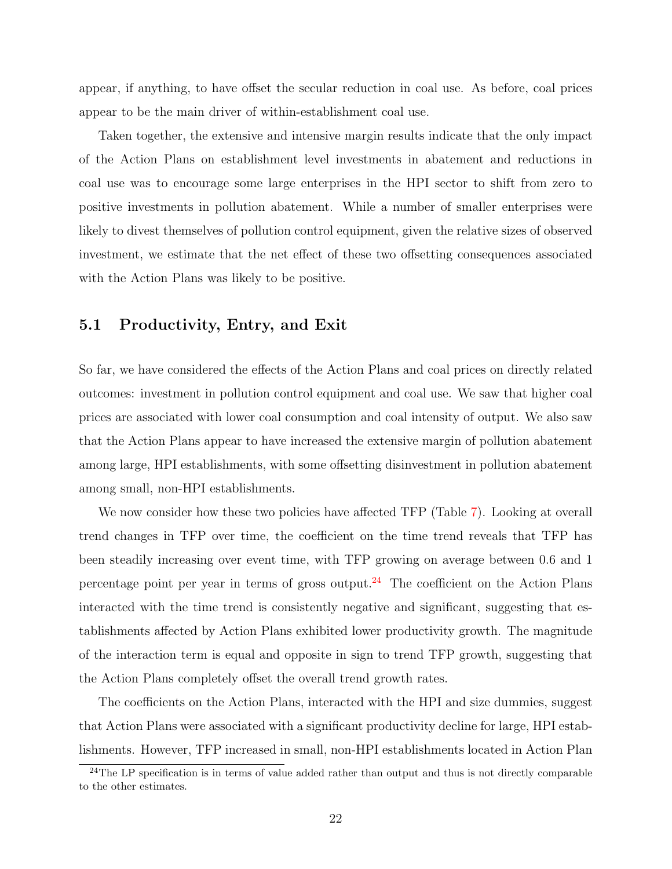appear, if anything, to have offset the secular reduction in coal use. As before, coal prices appear to be the main driver of within-establishment coal use.

Taken together, the extensive and intensive margin results indicate that the only impact of the Action Plans on establishment level investments in abatement and reductions in coal use was to encourage some large enterprises in the HPI sector to shift from zero to positive investments in pollution abatement. While a number of smaller enterprises were likely to divest themselves of pollution control equipment, given the relative sizes of observed investment, we estimate that the net effect of these two offsetting consequences associated with the Action Plans was likely to be positive.

#### 5.1 Productivity, Entry, and Exit

So far, we have considered the effects of the Action Plans and coal prices on directly related outcomes: investment in pollution control equipment and coal use. We saw that higher coal prices are associated with lower coal consumption and coal intensity of output. We also saw that the Action Plans appear to have increased the extensive margin of pollution abatement among large, HPI establishments, with some offsetting disinvestment in pollution abatement among small, non-HPI establishments.

We now consider how these two policies have affected TFP (Table [7\)](#page-36-0). Looking at overall trend changes in TFP over time, the coefficient on the time trend reveals that TFP has been steadily increasing over event time, with TFP growing on average between 0.6 and 1 percentage point per year in terms of gross output.<sup>[24](#page-22-0)</sup> The coefficient on the Action Plans interacted with the time trend is consistently negative and significant, suggesting that establishments affected by Action Plans exhibited lower productivity growth. The magnitude of the interaction term is equal and opposite in sign to trend TFP growth, suggesting that the Action Plans completely offset the overall trend growth rates.

The coefficients on the Action Plans, interacted with the HPI and size dummies, suggest that Action Plans were associated with a significant productivity decline for large, HPI establishments. However, TFP increased in small, non-HPI establishments located in Action Plan

<span id="page-22-0"></span> $24$ The LP specification is in terms of value added rather than output and thus is not directly comparable to the other estimates.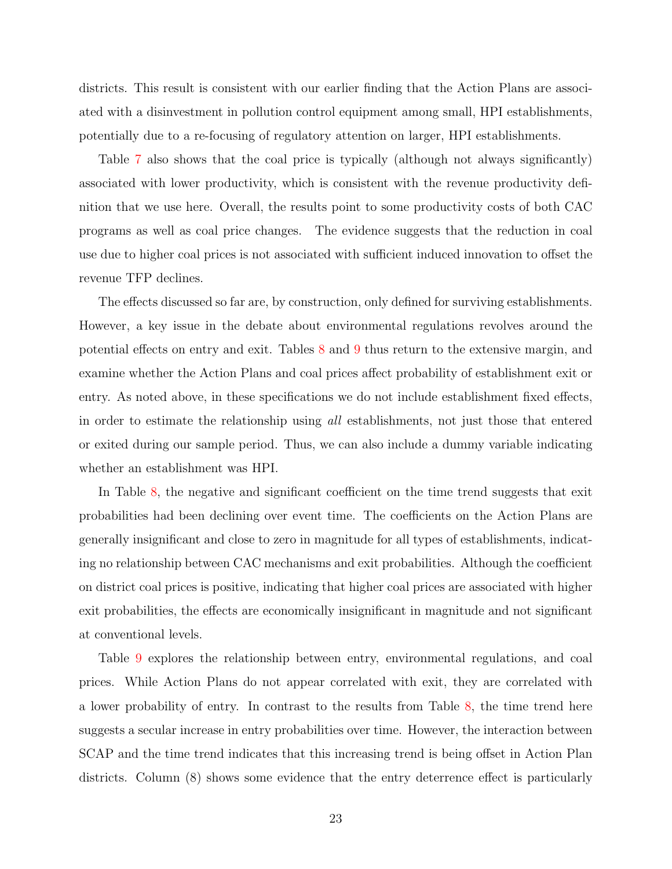districts. This result is consistent with our earlier finding that the Action Plans are associated with a disinvestment in pollution control equipment among small, HPI establishments, potentially due to a re-focusing of regulatory attention on larger, HPI establishments.

Table [7](#page-36-0) also shows that the coal price is typically (although not always significantly) associated with lower productivity, which is consistent with the revenue productivity definition that we use here. Overall, the results point to some productivity costs of both CAC programs as well as coal price changes. The evidence suggests that the reduction in coal use due to higher coal prices is not associated with sufficient induced innovation to offset the revenue TFP declines.

The effects discussed so far are, by construction, only defined for surviving establishments. However, a key issue in the debate about environmental regulations revolves around the potential effects on entry and exit. Tables [8](#page-37-0) and [9](#page-38-0) thus return to the extensive margin, and examine whether the Action Plans and coal prices affect probability of establishment exit or entry. As noted above, in these specifications we do not include establishment fixed effects, in order to estimate the relationship using all establishments, not just those that entered or exited during our sample period. Thus, we can also include a dummy variable indicating whether an establishment was HPI.

In Table [8,](#page-37-0) the negative and significant coefficient on the time trend suggests that exit probabilities had been declining over event time. The coefficients on the Action Plans are generally insignificant and close to zero in magnitude for all types of establishments, indicating no relationship between CAC mechanisms and exit probabilities. Although the coefficient on district coal prices is positive, indicating that higher coal prices are associated with higher exit probabilities, the effects are economically insignificant in magnitude and not significant at conventional levels.

Table [9](#page-38-0) explores the relationship between entry, environmental regulations, and coal prices. While Action Plans do not appear correlated with exit, they are correlated with a lower probability of entry. In contrast to the results from Table [8,](#page-37-0) the time trend here suggests a secular increase in entry probabilities over time. However, the interaction between SCAP and the time trend indicates that this increasing trend is being offset in Action Plan districts. Column (8) shows some evidence that the entry deterrence effect is particularly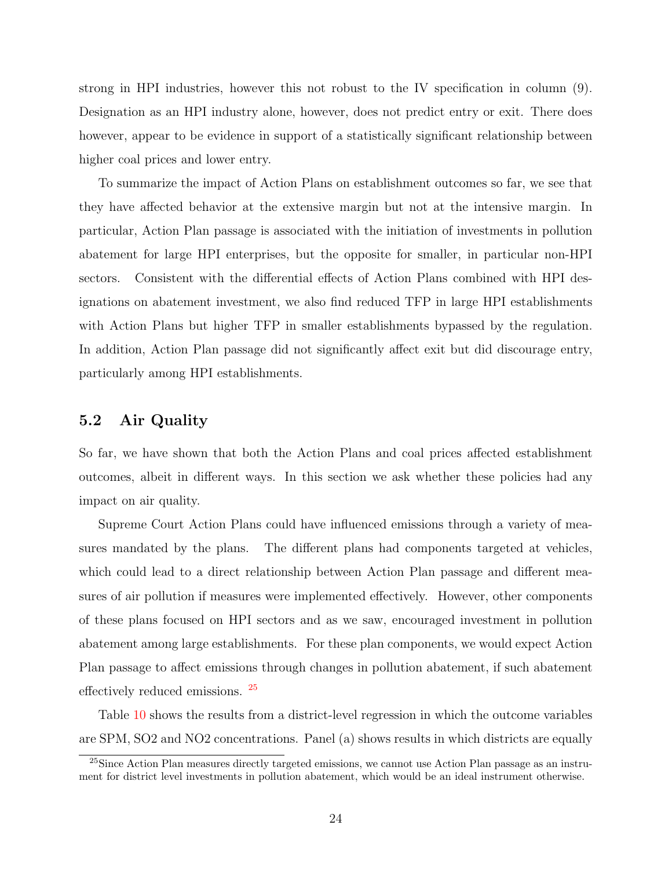strong in HPI industries, however this not robust to the IV specification in column (9). Designation as an HPI industry alone, however, does not predict entry or exit. There does however, appear to be evidence in support of a statistically significant relationship between higher coal prices and lower entry.

To summarize the impact of Action Plans on establishment outcomes so far, we see that they have affected behavior at the extensive margin but not at the intensive margin. In particular, Action Plan passage is associated with the initiation of investments in pollution abatement for large HPI enterprises, but the opposite for smaller, in particular non-HPI sectors. Consistent with the differential effects of Action Plans combined with HPI designations on abatement investment, we also find reduced TFP in large HPI establishments with Action Plans but higher TFP in smaller establishments bypassed by the regulation. In addition, Action Plan passage did not significantly affect exit but did discourage entry, particularly among HPI establishments.

#### 5.2 Air Quality

So far, we have shown that both the Action Plans and coal prices affected establishment outcomes, albeit in different ways. In this section we ask whether these policies had any impact on air quality.

Supreme Court Action Plans could have influenced emissions through a variety of measures mandated by the plans. The different plans had components targeted at vehicles, which could lead to a direct relationship between Action Plan passage and different measures of air pollution if measures were implemented effectively. However, other components of these plans focused on HPI sectors and as we saw, encouraged investment in pollution abatement among large establishments. For these plan components, we would expect Action Plan passage to affect emissions through changes in pollution abatement, if such abatement effectively reduced emissions. [25](#page-24-0)

Table [10](#page-39-0) shows the results from a district-level regression in which the outcome variables are SPM, SO2 and NO2 concentrations. Panel (a) shows results in which districts are equally

<span id="page-24-0"></span><sup>25</sup>Since Action Plan measures directly targeted emissions, we cannot use Action Plan passage as an instrument for district level investments in pollution abatement, which would be an ideal instrument otherwise.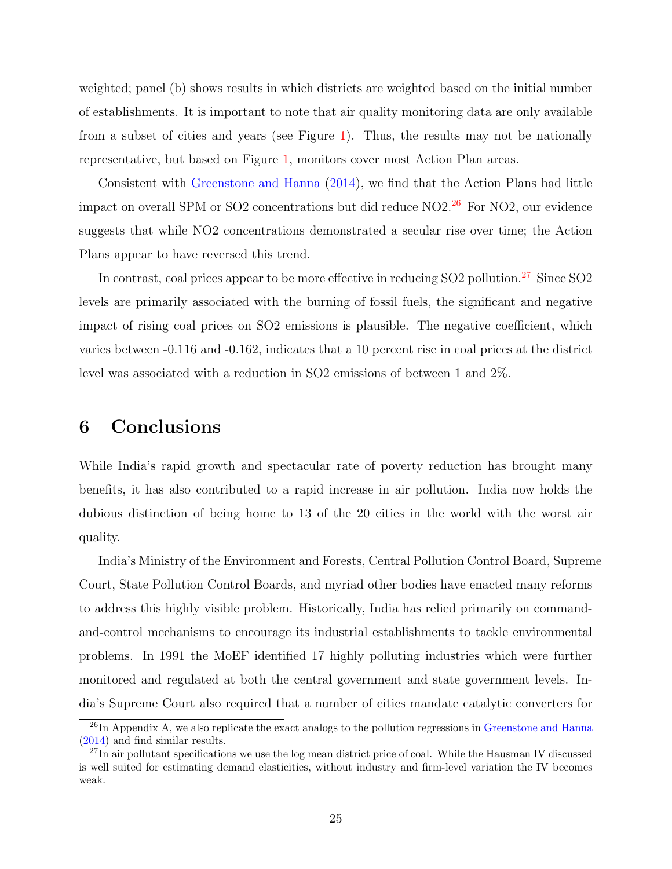weighted; panel (b) shows results in which districts are weighted based on the initial number of establishments. It is important to note that air quality monitoring data are only available from a subset of cities and years (see Figure [1\)](#page-28-0). Thus, the results may not be nationally representative, but based on Figure [1,](#page-28-0) monitors cover most Action Plan areas.

Consistent with [Greenstone and Hanna](#page-41-1) [\(2014\)](#page-41-1), we find that the Action Plans had little impact on overall SPM or SO2 concentrations but did reduce  $NO2<sup>26</sup>$  $NO2<sup>26</sup>$  $NO2<sup>26</sup>$  For NO2, our evidence suggests that while NO2 concentrations demonstrated a secular rise over time; the Action Plans appear to have reversed this trend.

In contrast, coal prices appear to be more effective in reducing SO2 pollution.<sup>[27](#page-25-1)</sup> Since SO2 levels are primarily associated with the burning of fossil fuels, the significant and negative impact of rising coal prices on SO2 emissions is plausible. The negative coefficient, which varies between -0.116 and -0.162, indicates that a 10 percent rise in coal prices at the district level was associated with a reduction in SO2 emissions of between 1 and 2%.

## 6 Conclusions

While India's rapid growth and spectacular rate of poverty reduction has brought many benefits, it has also contributed to a rapid increase in air pollution. India now holds the dubious distinction of being home to 13 of the 20 cities in the world with the worst air quality.

India's Ministry of the Environment and Forests, Central Pollution Control Board, Supreme Court, State Pollution Control Boards, and myriad other bodies have enacted many reforms to address this highly visible problem. Historically, India has relied primarily on commandand-control mechanisms to encourage its industrial establishments to tackle environmental problems. In 1991 the MoEF identified 17 highly polluting industries which were further monitored and regulated at both the central government and state government levels. India's Supreme Court also required that a number of cities mandate catalytic converters for

<span id="page-25-0"></span><sup>&</sup>lt;sup>26</sup>In Appendix A, we also replicate the exact analogs to the pollution regressions in [Greenstone and Hanna](#page-41-1) [\(2014\)](#page-41-1) and find similar results.

<span id="page-25-1"></span><sup>&</sup>lt;sup>27</sup>In air pollutant specifications we use the log mean district price of coal. While the Hausman IV discussed is well suited for estimating demand elasticities, without industry and firm-level variation the IV becomes weak.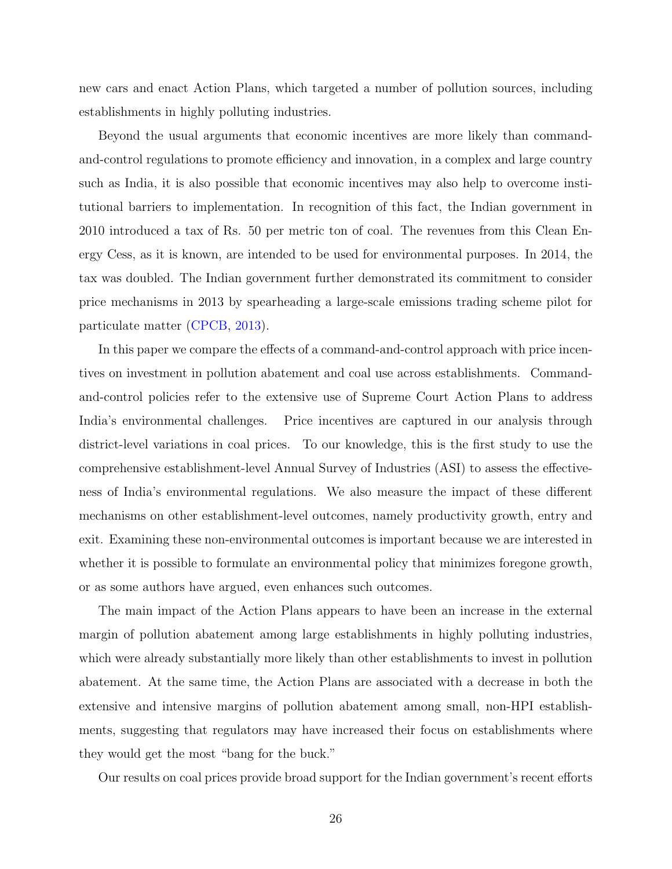new cars and enact Action Plans, which targeted a number of pollution sources, including establishments in highly polluting industries.

Beyond the usual arguments that economic incentives are more likely than commandand-control regulations to promote efficiency and innovation, in a complex and large country such as India, it is also possible that economic incentives may also help to overcome institutional barriers to implementation. In recognition of this fact, the Indian government in 2010 introduced a tax of Rs. 50 per metric ton of coal. The revenues from this Clean Energy Cess, as it is known, are intended to be used for environmental purposes. In 2014, the tax was doubled. The Indian government further demonstrated its commitment to consider price mechanisms in 2013 by spearheading a large-scale emissions trading scheme pilot for particulate matter [\(CPCB,](#page-40-8) [2013\)](#page-40-8).

In this paper we compare the effects of a command-and-control approach with price incentives on investment in pollution abatement and coal use across establishments. Commandand-control policies refer to the extensive use of Supreme Court Action Plans to address India's environmental challenges. Price incentives are captured in our analysis through district-level variations in coal prices. To our knowledge, this is the first study to use the comprehensive establishment-level Annual Survey of Industries (ASI) to assess the effectiveness of India's environmental regulations. We also measure the impact of these different mechanisms on other establishment-level outcomes, namely productivity growth, entry and exit. Examining these non-environmental outcomes is important because we are interested in whether it is possible to formulate an environmental policy that minimizes foregone growth, or as some authors have argued, even enhances such outcomes.

The main impact of the Action Plans appears to have been an increase in the external margin of pollution abatement among large establishments in highly polluting industries, which were already substantially more likely than other establishments to invest in pollution abatement. At the same time, the Action Plans are associated with a decrease in both the extensive and intensive margins of pollution abatement among small, non-HPI establishments, suggesting that regulators may have increased their focus on establishments where they would get the most "bang for the buck."

Our results on coal prices provide broad support for the Indian government's recent efforts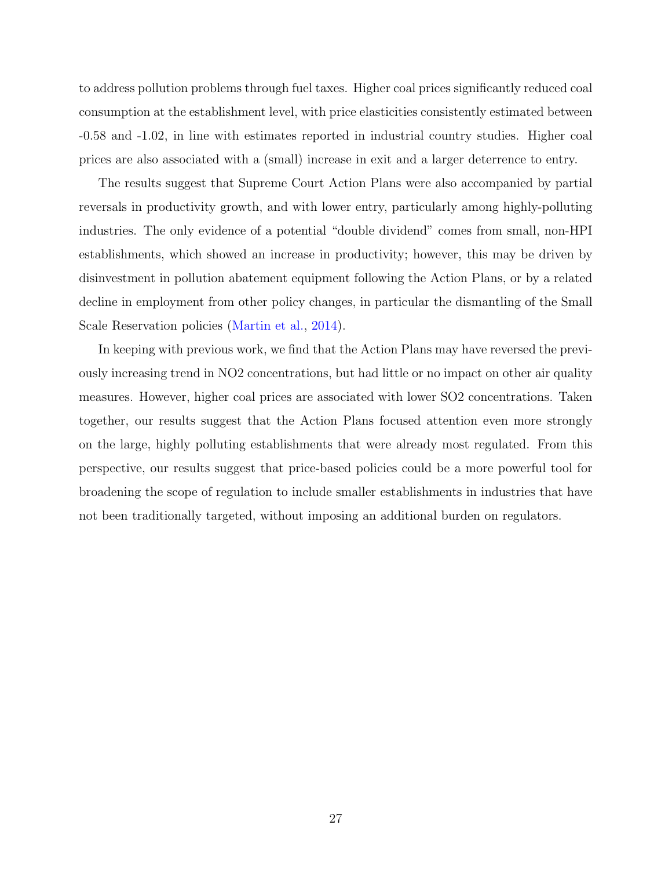to address pollution problems through fuel taxes. Higher coal prices significantly reduced coal consumption at the establishment level, with price elasticities consistently estimated between -0.58 and -1.02, in line with estimates reported in industrial country studies. Higher coal prices are also associated with a (small) increase in exit and a larger deterrence to entry.

The results suggest that Supreme Court Action Plans were also accompanied by partial reversals in productivity growth, and with lower entry, particularly among highly-polluting industries. The only evidence of a potential "double dividend" comes from small, non-HPI establishments, which showed an increase in productivity; however, this may be driven by disinvestment in pollution abatement equipment following the Action Plans, or by a related decline in employment from other policy changes, in particular the dismantling of the Small Scale Reservation policies [\(Martin et al.,](#page-42-9) [2014\)](#page-42-9).

In keeping with previous work, we find that the Action Plans may have reversed the previously increasing trend in NO2 concentrations, but had little or no impact on other air quality measures. However, higher coal prices are associated with lower SO2 concentrations. Taken together, our results suggest that the Action Plans focused attention even more strongly on the large, highly polluting establishments that were already most regulated. From this perspective, our results suggest that price-based policies could be a more powerful tool for broadening the scope of regulation to include smaller establishments in industries that have not been traditionally targeted, without imposing an additional burden on regulators.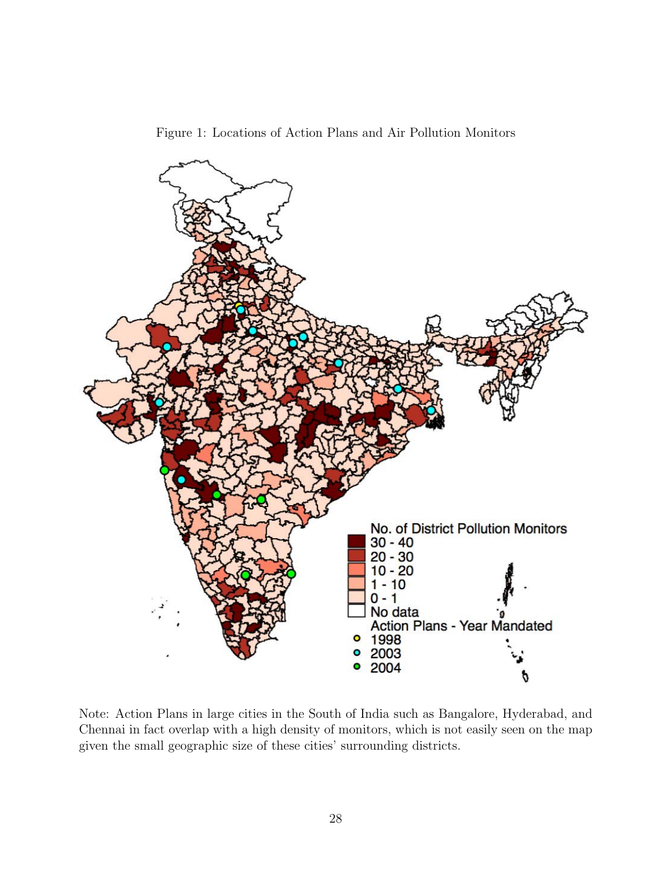<span id="page-28-0"></span>



Note: Action Plans in large cities in the South of India such as Bangalore, Hyderabad, and Chennai in fact overlap with a high density of monitors, which is not easily seen on the map given the small geographic size of these cities' surrounding districts.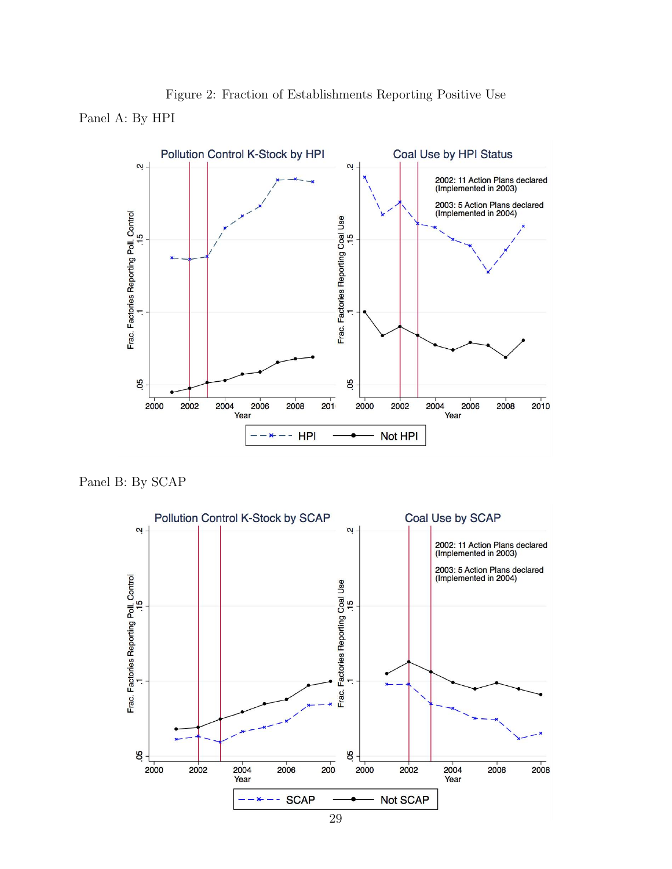<span id="page-29-0"></span>

Figure 2: Fraction of Establishments Reporting Positive Use Panel A: By HPI

Panel B: By SCAP



29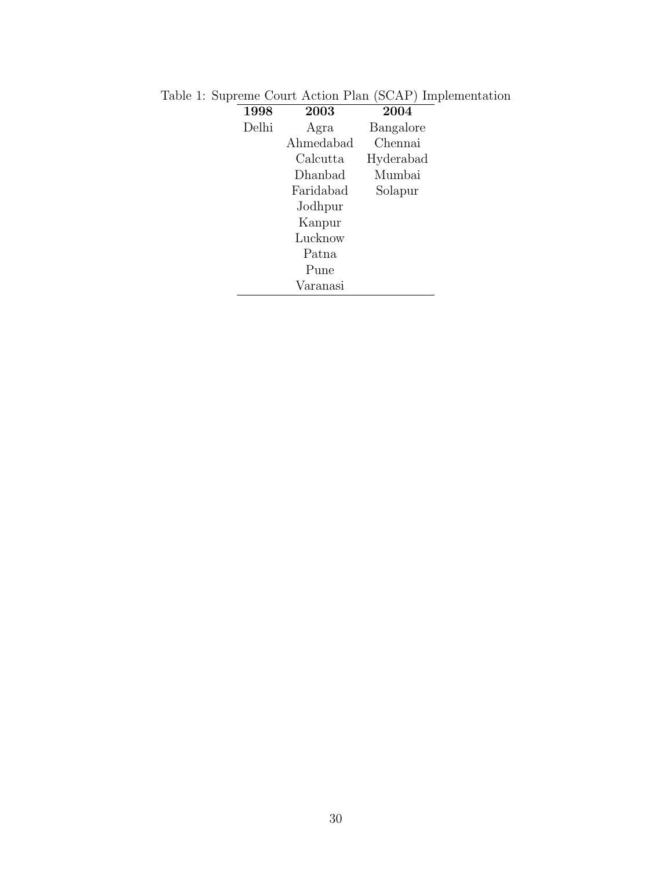<span id="page-30-0"></span>

| ᅩ |       |           |           |
|---|-------|-----------|-----------|
|   | 1998  | 2003      | 2004      |
|   | Delhi | Agra      | Bangalore |
|   |       | Ahmedabad | Chennai   |
|   |       | Calcutta  | Hyderabad |
|   |       | Dhanbad   | Mumbai    |
|   |       | Faridabad | Solapur   |
|   |       | Jodhpur   |           |
|   |       | Kanpur    |           |
|   |       | Lucknow   |           |
|   |       | Patna     |           |
|   |       | Pune      |           |
|   |       | Varanasi  |           |

Table 1: Supreme Court Action Plan (SCAP) Implementation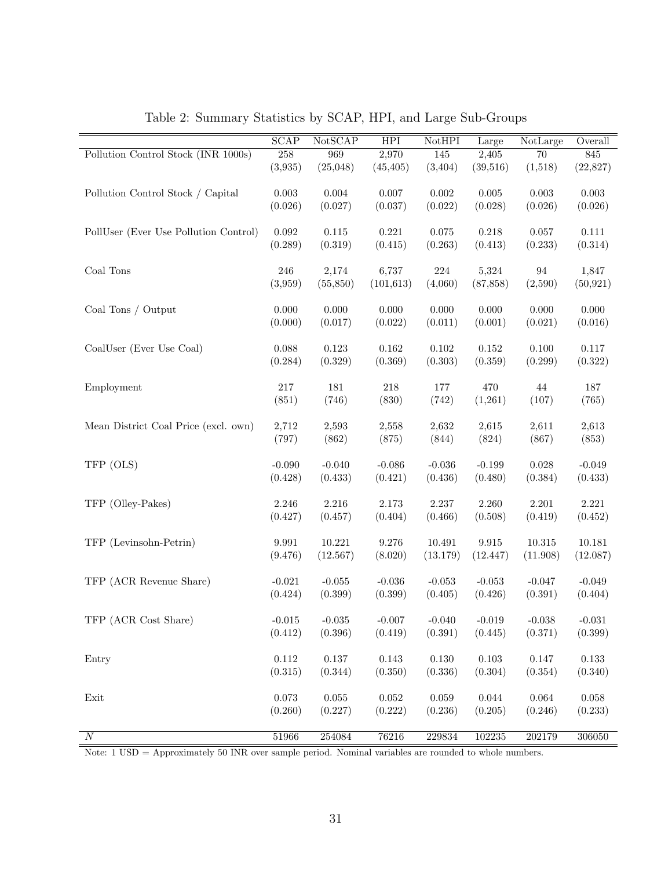|                                       | <b>SCAP</b>          | NotSCAP     | <b>HPI</b>  | NotHPI      | Large                | NotLarge    | Overall     |
|---------------------------------------|----------------------|-------------|-------------|-------------|----------------------|-------------|-------------|
| Pollution Control Stock (INR 1000s)   | 258                  | 969         | 2,970       | 145         | 2,405                | 70          | 845         |
|                                       | (3,935)              | (25,048)    | (45, 405)   | (3,404)     | (39,516)             | (1,518)     | (22,827)    |
|                                       |                      |             |             |             |                      |             |             |
| Pollution Control Stock / Capital     | $\,0.003\,$          | $0.004\,$   | 0.007       | $0.002\,$   | $\,0.005\,$          | $\,0.003\,$ | $\,0.003\,$ |
|                                       | (0.026)              | (0.027)     | (0.037)     | (0.022)     | (0.028)              | (0.026)     | (0.026)     |
|                                       |                      |             |             |             |                      |             |             |
| PollUser (Ever Use Pollution Control) | $\,0.092\,$          | $0.115\,$   | 0.221       | 0.075       | 0.218                | $0.057\,$   | 0.111       |
|                                       | (0.289)              | (0.319)     | (0.415)     | (0.263)     | (0.413)              | (0.233)     | (0.314)     |
| Coal Tons                             | 246                  | 2,174       | 6,737       | $224\,$     | 5,324                | 94          | 1,847       |
|                                       | (3,959)              | (55, 850)   | (101, 613)  | (4,060)     | (87, 858)            | (2,590)     | (50, 921)   |
|                                       |                      |             |             |             |                      |             |             |
| Coal Tons / Output                    | 0.000                | 0.000       | 0.000       | 0.000       | 0.000                | 0.000       | 0.000       |
|                                       | (0.000)              | (0.017)     | (0.022)     | (0.011)     | (0.001)              | (0.021)     | (0.016)     |
|                                       |                      |             |             |             |                      |             |             |
| CoalUser (Ever Use Coal)              | 0.088                | 0.123       | $0.162\,$   | 0.102       | 0.152                | $0.100\,$   | 0.117       |
|                                       | (0.284)              | (0.329)     | (0.369)     | (0.303)     | (0.359)              | (0.299)     | (0.322)     |
|                                       |                      |             |             |             |                      |             |             |
| Employment                            | 217                  | 181         | $218\,$     | 177         | 470                  | $44\,$      | 187         |
|                                       | (851)                | (746)       | (830)       | (742)       | (1,261)              | (107)       | (765)       |
|                                       |                      |             |             |             |                      |             |             |
| Mean District Coal Price (excl. own)  | 2,712                | 2,593       | 2,558       | 2,632       | 2,615                | 2,611       | 2,613       |
|                                       | (797)                | (862)       | (875)       | (844)       | (824)                | (867)       | (853)       |
| TFP (OLS)                             | $-0.090$             | $-0.040$    | $-0.086$    | $-0.036$    | $-0.199$             | 0.028       | $-0.049$    |
|                                       | (0.428)              | (0.433)     | (0.421)     | (0.436)     | (0.480)              | (0.384)     | (0.433)     |
|                                       |                      |             |             |             |                      |             |             |
| TFP (Olley-Pakes)                     | 2.246                | 2.216       | 2.173       | 2.237       | 2.260                | 2.201       | 2.221       |
|                                       | (0.427)              | (0.457)     | (0.404)     | (0.466)     | (0.508)              | (0.419)     | (0.452)     |
|                                       |                      |             |             |             |                      |             |             |
| TFP (Levinsohn-Petrin)                | $\boldsymbol{9.991}$ | 10.221      | 9.276       | 10.491      | $\boldsymbol{9.915}$ | 10.315      | 10.181      |
|                                       | (9.476)              | (12.567)    | (8.020)     | (13.179)    | (12.447)             | (11.908)    | (12.087)    |
|                                       |                      |             |             |             |                      |             |             |
| TFP (ACR Revenue Share)               | $-0.021$             | $-0.055$    | $-0.036$    | $-0.053$    | $-0.053$             | $-0.047$    | $-0.049$    |
|                                       | (0.424)              | (0.399)     | (0.399)     | (0.405)     | (0.426)              | (0.391)     | (0.404)     |
|                                       |                      |             |             |             |                      |             |             |
| TFP (ACR Cost Share)                  | $-0.015$             | $-0.035$    | $-0.007$    | $-0.040$    | $-0.019$             | $-0.038$    | $-0.031$    |
|                                       | (0.412)              | (0.396)     | (0.419)     | (0.391)     | (0.445)              | (0.371)     | (0.399)     |
| Entry                                 | $0.112\,$            | $0.137\,$   | $0.143\,$   | $0.130\,$   | $0.103\,$            | $0.147\,$   | 0.133       |
|                                       | (0.315)              | (0.344)     | (0.350)     | (0.336)     | (0.304)              | (0.354)     | (0.340)     |
|                                       |                      |             |             |             |                      |             |             |
| $\operatorname{Exit}$                 | $\,0.073\,$          | $\,0.055\,$ | $\,0.052\,$ | $\,0.059\,$ | $\,0.044\,$          | $0.064\,$   | 0.058       |
|                                       | (0.260)              | (0.227)     | (0.222)     | (0.236)     | (0.205)              | (0.246)     | (0.233)     |
|                                       |                      |             |             |             |                      |             |             |
| $\overline{N}$                        | 51966                | 254084      | 76216       | 229834      | 102235               | 202179      | 306050      |

<span id="page-31-0"></span>Table 2: Summary Statistics by SCAP, HPI, and Large Sub-Groups

Note: 1 USD = Approximately 50 INR over sample period. Nominal variables are rounded to whole numbers.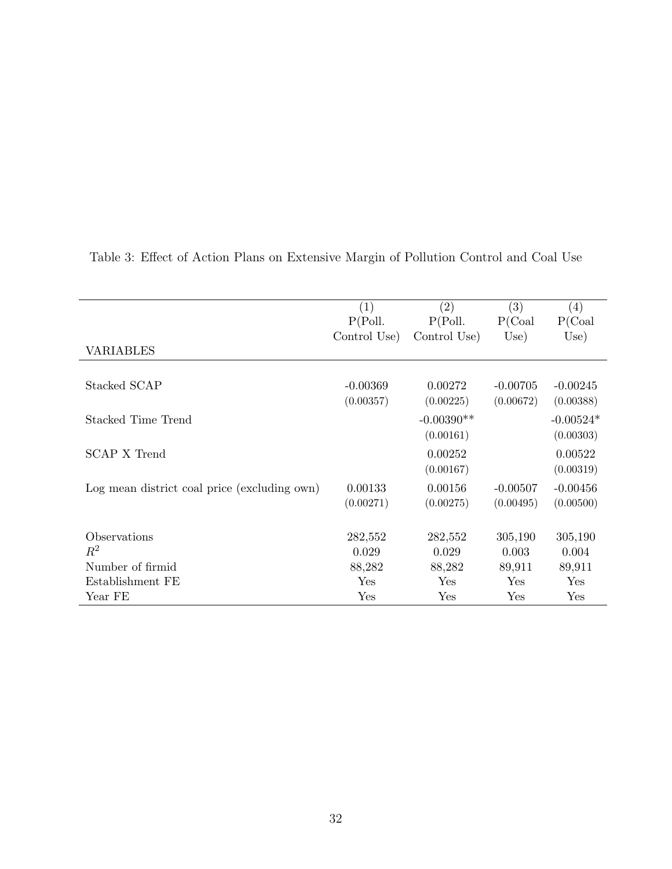|                                              | (1)          | (2)          | (3)         | (4)         |
|----------------------------------------------|--------------|--------------|-------------|-------------|
|                                              | P(Poll.      | P(Poll.      | P(Coal)     | P(Coal)     |
|                                              | Control Use) | Control Use  | Use)        | Use)        |
| <b>VARIABLES</b>                             |              |              |             |             |
|                                              |              |              |             |             |
| Stacked SCAP                                 | $-0.00369$   | 0.00272      | $-0.00705$  | $-0.00245$  |
|                                              | (0.00357)    | (0.00225)    | (0.00672)   | (0.00388)   |
| Stacked Time Trend                           |              | $-0.00390**$ |             | $-0.00524*$ |
|                                              |              | (0.00161)    |             | (0.00303)   |
| SCAP X Trend                                 |              | 0.00252      |             | 0.00522     |
|                                              |              | (0.00167)    |             | (0.00319)   |
| Log mean district coal price (excluding own) | 0.00133      | 0.00156      | $-0.00507$  | $-0.00456$  |
|                                              | (0.00271)    | (0.00275)    | (0.00495)   | (0.00500)   |
|                                              |              |              |             |             |
| Observations                                 | 282,552      | 282,552      | 305,190     | 305,190     |
| $R^2$                                        | 0.029        | 0.029        | 0.003       | 0.004       |
| Number of firmid                             | 88,282       | 88,282       | 89,911      | 89,911      |
| Establishment FE                             | Yes          | Yes          | Yes         | Yes         |
| Year FE                                      | Yes          | Yes          | ${\rm Yes}$ | Yes         |

<span id="page-32-0"></span>Table 3: Effect of Action Plans on Extensive Margin of Pollution Control and Coal Use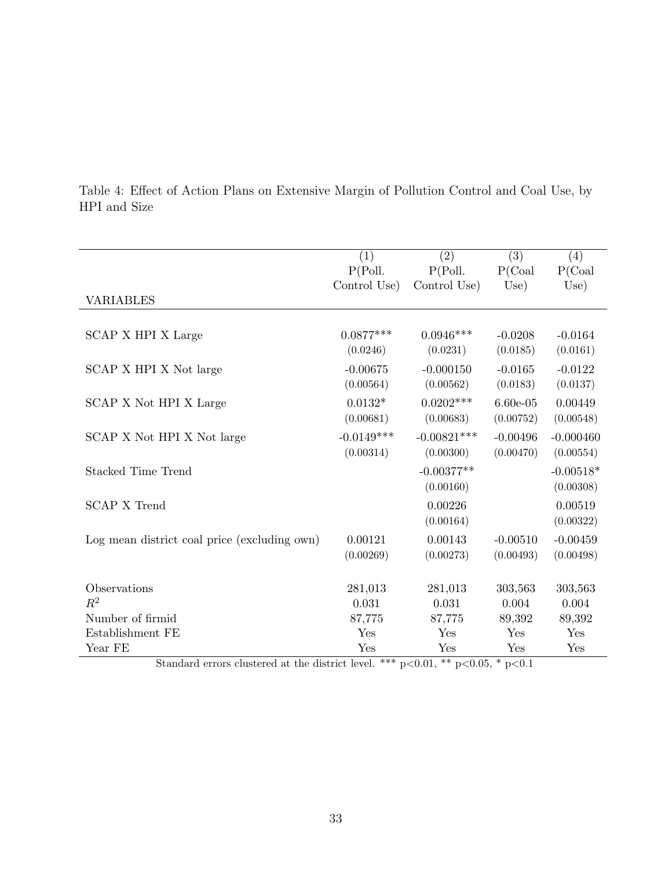|                                              | (1)          | (2)           | (3)        | (4)         |
|----------------------------------------------|--------------|---------------|------------|-------------|
|                                              | P(Poll.      | P(Poll.       | P(Coal)    | P(Coal)     |
|                                              | Control Use) | Control Use)  | Use)       | Use)        |
| <b>VARIABLES</b>                             |              |               |            |             |
|                                              |              |               |            |             |
| SCAP X HPI X Large                           | $0.0877***$  | $0.0946***$   | $-0.0208$  | $-0.0164$   |
|                                              | (0.0246)     | (0.0231)      | (0.0185)   | (0.0161)    |
| SCAP X HPI X Not large                       | $-0.00675$   | $-0.000150$   | $-0.0165$  | $-0.0122$   |
|                                              | (0.00564)    | (0.00562)     | (0.0183)   | (0.0137)    |
| SCAP X Not HPI X Large                       | $0.0132*$    | $0.0202***$   | $6.60e-05$ | 0.00449     |
|                                              | (0.00681)    | (0.00683)     | (0.00752)  | (0.00548)   |
| SCAP X Not HPI X Not large                   | $-0.0149***$ | $-0.00821***$ | $-0.00496$ | $-0.000460$ |
|                                              | (0.00314)    | (0.00300)     | (0.00470)  | (0.00554)   |
| <b>Stacked Time Trend</b>                    |              | $-0.00377**$  |            | $-0.00518*$ |
|                                              |              | (0.00160)     |            | (0.00308)   |
| <b>SCAP X Trend</b>                          |              | 0.00226       |            | 0.00519     |
|                                              |              | (0.00164)     |            | (0.00322)   |
| Log mean district coal price (excluding own) | 0.00121      | 0.00143       | $-0.00510$ | $-0.00459$  |
|                                              | (0.00269)    | (0.00273)     | (0.00493)  | (0.00498)   |
|                                              |              |               |            |             |
| Observations                                 | 281,013      | 281,013       | 303,563    | 303,563     |
| $R^2$                                        | 0.031        | 0.031         | 0.004      | 0.004       |
| Number of firmid                             | 87,775       | 87,775        | 89,392     | 89,392      |
| Establishment FE                             | Yes          | Yes           | Yes        | Yes         |
| Year FE                                      | Yes          | Yes           | Yes        | Yes         |

<span id="page-33-0"></span>Table 4: Effect of Action Plans on Extensive Margin of Pollution Control and Coal Use, by HPI and Size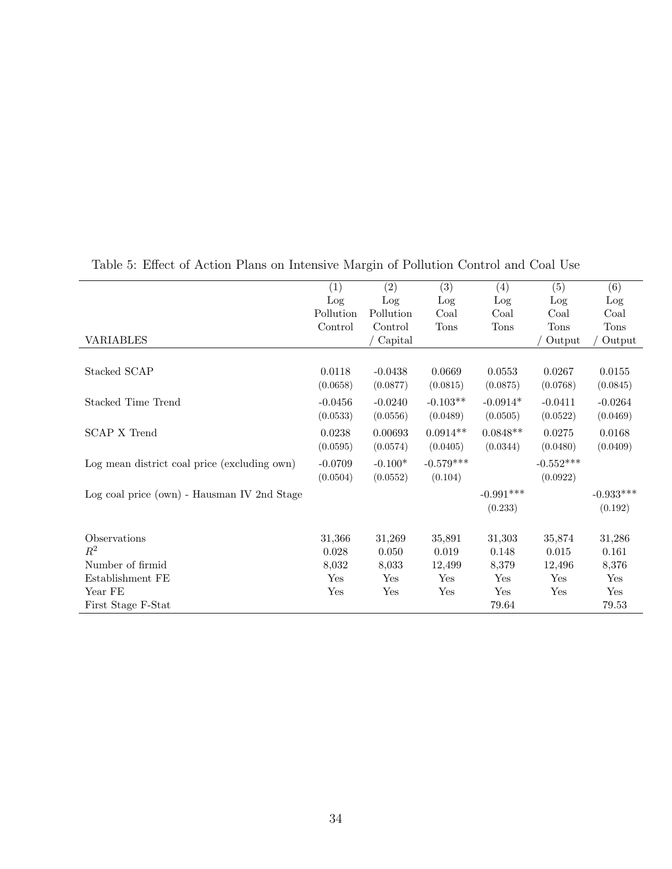|                                              | (1)       | (2)       | (3)         | (4)         | (5)         | (6)         |
|----------------------------------------------|-----------|-----------|-------------|-------------|-------------|-------------|
|                                              | Log       | Log       | Log         | Log         | Log         | Log         |
|                                              | Pollution | Pollution | Coal        | Coal        | Coal        | Coal        |
|                                              | Control   | Control   | <b>Tons</b> | <b>Tons</b> | <b>Tons</b> | <b>Tons</b> |
| <b>VARIABLES</b>                             |           | Capital   |             |             | Output      | Output      |
|                                              |           |           |             |             |             |             |
| Stacked SCAP                                 | 0.0118    | $-0.0438$ | 0.0669      | 0.0553      | 0.0267      | 0.0155      |
|                                              | (0.0658)  | (0.0877)  | (0.0815)    | (0.0875)    | (0.0768)    | (0.0845)    |
| Stacked Time Trend                           | $-0.0456$ | $-0.0240$ | $-0.103**$  | $-0.0914*$  | $-0.0411$   | $-0.0264$   |
|                                              | (0.0533)  | (0.0556)  | (0.0489)    | (0.0505)    | (0.0522)    | (0.0469)    |
| <b>SCAP X Trend</b>                          | 0.0238    | 0.00693   | $0.0914**$  | $0.0848**$  | 0.0275      | 0.0168      |
|                                              | (0.0595)  | (0.0574)  | (0.0405)    | (0.0344)    | (0.0480)    | (0.0409)    |
| Log mean district coal price (excluding own) | $-0.0709$ | $-0.100*$ | $-0.579***$ |             | $-0.552***$ |             |
|                                              | (0.0504)  | (0.0552)  | (0.104)     |             | (0.0922)    |             |
| Log coal price (own) - Hausman IV 2nd Stage  |           |           |             | $-0.991***$ |             | $-0.933***$ |
|                                              |           |           |             | (0.233)     |             | (0.192)     |
|                                              |           |           |             |             |             |             |
| Observations                                 | 31,366    | 31,269    | 35,891      | 31,303      | 35,874      | 31,286      |
| $R^2$                                        | 0.028     | 0.050     | 0.019       | 0.148       | 0.015       | 0.161       |
| Number of firmid                             | 8,032     | 8,033     | 12,499      | 8,379       | 12,496      | 8,376       |
| Establishment FE                             | Yes       | Yes       | Yes         | Yes         | Yes         | Yes         |
| Year FE                                      | Yes       | Yes       | Yes         | Yes         | Yes         | Yes         |
| First Stage F-Stat                           |           |           |             | 79.64       |             | 79.53       |

<span id="page-34-0"></span>Table 5: Effect of Action Plans on Intensive Margin of Pollution Control and Coal Use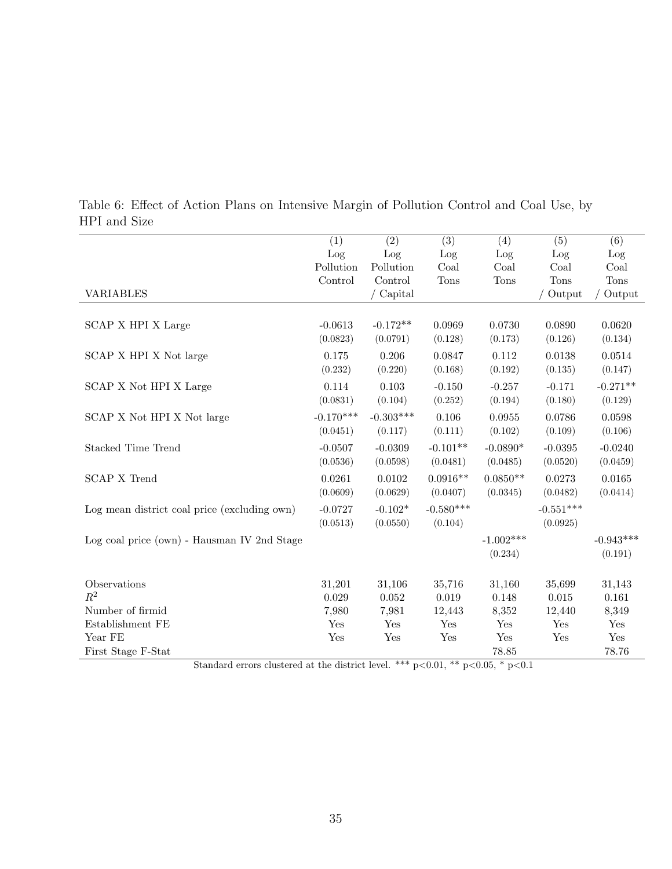|                                              | (1)         | (2)         | (3)         | (4)         | (5)         | (6)         |
|----------------------------------------------|-------------|-------------|-------------|-------------|-------------|-------------|
|                                              | Log         | Log         | Log         | Log         | Log         | Log         |
|                                              | Pollution   | Pollution   | Coal        | Coal        | Coal        | Coal        |
|                                              | Control     | Control     | <b>Tons</b> | <b>Tons</b> | <b>Tons</b> | <b>Tons</b> |
| <b>VARIABLES</b>                             |             | ' Capital   |             |             | Output      | Output      |
|                                              |             |             |             |             |             |             |
| SCAP X HPI X Large                           | $-0.0613$   | $-0.172**$  | 0.0969      | 0.0730      | 0.0890      | 0.0620      |
|                                              | (0.0823)    | (0.0791)    | (0.128)     | (0.173)     | (0.126)     | (0.134)     |
| SCAP X HPI X Not large                       | 0.175       | 0.206       | 0.0847      | 0.112       | 0.0138      | 0.0514      |
|                                              | (0.232)     | (0.220)     | (0.168)     | (0.192)     | (0.135)     | (0.147)     |
| SCAP X Not HPI X Large                       | 0.114       | 0.103       | $-0.150$    | $-0.257$    | $-0.171$    | $-0.271**$  |
|                                              | (0.0831)    | (0.104)     | (0.252)     | (0.194)     | (0.180)     | (0.129)     |
| SCAP X Not HPI X Not large                   | $-0.170***$ | $-0.303***$ | 0.106       | 0.0955      | 0.0786      | 0.0598      |
|                                              | (0.0451)    | (0.117)     | (0.111)     | (0.102)     | (0.109)     | (0.106)     |
| Stacked Time Trend                           | $-0.0507$   | $-0.0309$   | $-0.101**$  | $-0.0890*$  | $-0.0395$   | $-0.0240$   |
|                                              | (0.0536)    | (0.0598)    | (0.0481)    | (0.0485)    | (0.0520)    | (0.0459)    |
| <b>SCAP X Trend</b>                          | 0.0261      | 0.0102      | $0.0916**$  | $0.0850**$  | 0.0273      | 0.0165      |
|                                              | (0.0609)    | (0.0629)    | (0.0407)    | (0.0345)    | (0.0482)    | (0.0414)    |
| Log mean district coal price (excluding own) | $-0.0727$   | $-0.102*$   | $-0.580***$ |             | $-0.551***$ |             |
|                                              | (0.0513)    | (0.0550)    | (0.104)     |             | (0.0925)    |             |
| Log coal price (own) - Hausman IV 2nd Stage  |             |             |             | $-1.002***$ |             | $-0.943***$ |
|                                              |             |             |             | (0.234)     |             | (0.191)     |
|                                              |             |             |             |             |             |             |
| Observations                                 | 31,201      | 31,106      | 35,716      | 31,160      | 35,699      | 31,143      |
| $R^2$                                        | 0.029       | 0.052       | 0.019       | 0.148       | 0.015       | 0.161       |
| Number of firmid                             | 7,980       | 7,981       | 12,443      | 8,352       | 12,440      | 8,349       |
| Establishment FE                             | Yes         | Yes         | Yes         | Yes         | Yes         | Yes         |
| Year FE                                      | Yes         | Yes         | Yes         | Yes         | Yes         | Yes         |
| First Stage F-Stat                           |             |             |             | 78.85       |             | 78.76       |

<span id="page-35-0"></span>Table 6: Effect of Action Plans on Intensive Margin of Pollution Control and Coal Use, by HPI and Size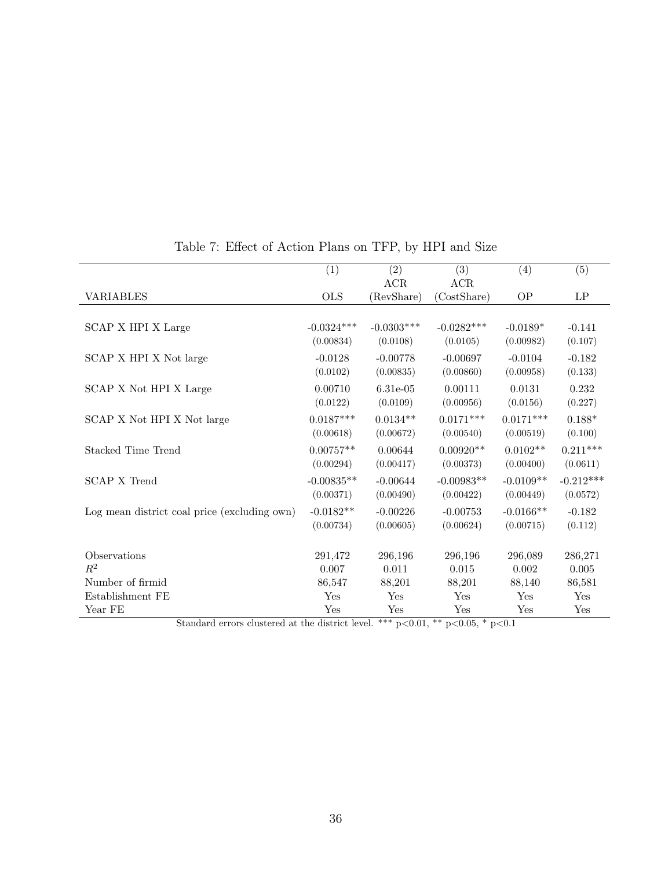|                                                | (1)          | (2)                | $\overline{(3)}$               | (4)                  | (5)                 |
|------------------------------------------------|--------------|--------------------|--------------------------------|----------------------|---------------------|
|                                                |              | $\rm{ACR}$         | ACR                            |                      |                     |
| <b>VARIABLES</b>                               | <b>OLS</b>   | (RevShare)         | (CostShare)                    | OP                   | $\operatorname{LP}$ |
|                                                |              |                    |                                |                      |                     |
| SCAP X HPI X Large                             | $-0.0324***$ | $-0.0303***$       | $-0.0282***$                   | $-0.0189*$           | $-0.141$            |
|                                                | (0.00834)    | (0.0108)           | (0.0105)                       | (0.00982)            | (0.107)             |
| SCAP X HPI X Not large                         | $-0.0128$    | $-0.00778$         | $-0.00697$                     | $-0.0104$            | $-0.182$            |
|                                                | (0.0102)     | (0.00835)          | (0.00860)                      | (0.00958)            | (0.133)             |
| SCAP X Not HPI X Large                         | 0.00710      | 6.31e-05           | 0.00111                        | 0.0131               | 0.232               |
|                                                | (0.0122)     | (0.0109)           | (0.00956)                      | (0.0156)             | (0.227)             |
| SCAP X Not HPI X Not large                     | $0.0187***$  | $0.0134**$         | $0.0171***$                    | $0.0171***$          | $0.188*$            |
|                                                | (0.00618)    | (0.00672)          | (0.00540)                      | (0.00519)            | (0.100)             |
| Stacked Time Trend                             | $0.00757**$  | 0.00644            | $0.00920**$                    | $0.0102**$           | $0.211***$          |
|                                                | (0.00294)    | (0.00417)          | (0.00373)                      | (0.00400)            | (0.0611)            |
| <b>SCAP X Trend</b>                            | $-0.00835**$ | $-0.00644$         | $-0.00983**$                   | $-0.0109**$          | $-0.212***$         |
|                                                | (0.00371)    | (0.00490)          | (0.00422)                      | (0.00449)            | (0.0572)            |
| Log mean district coal price (excluding own)   | $-0.0182**$  | $-0.00226$         | $-0.00753$                     | $-0.0166**$          | $-0.182$            |
|                                                | (0.00734)    | (0.00605)          | (0.00624)                      | (0.00715)            | (0.112)             |
|                                                |              |                    |                                |                      |                     |
| Observations                                   | 291,472      | 296,196            | 296,196                        | 296,089              | 286,271             |
| $\mathbb{R}^2$                                 | 0.007        | 0.011              | 0.015                          | 0.002                | 0.005               |
| Number of firmid                               | 86,547       | 88,201             | 88,201                         | 88,140               | 86,581              |
| Establishment FE                               | Yes          | Yes                | Yes                            | Yes                  | Yes                 |
| Year FE<br>$\sim$<br>$\mathbf{1}$ $\mathbf{1}$ | Yes          | Yes<br>ナナナ<br>0.01 | Yes<br>0.05 <sup>4</sup><br>ッケ | Yes<br>$\sim$ $\sim$ | Yes                 |

### <span id="page-36-0"></span>Table 7: Effect of Action Plans on TFP, by HPI and Size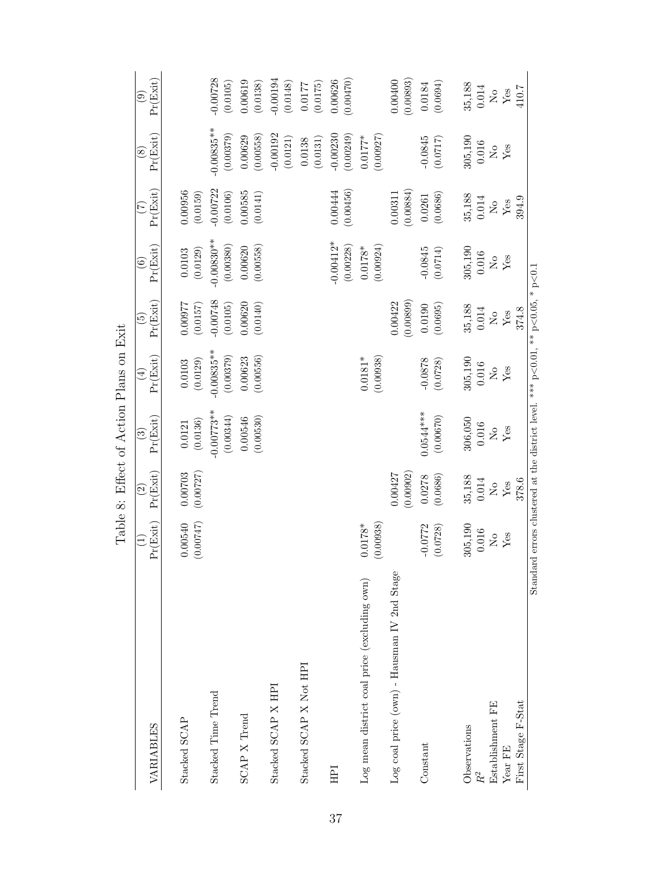<span id="page-37-0"></span>

|                                              |                                |                                                | Table 8: Effect of Action Plans on Exit                                                 |                            |                             |                                    |                            |                            |                                      |
|----------------------------------------------|--------------------------------|------------------------------------------------|-----------------------------------------------------------------------------------------|----------------------------|-----------------------------|------------------------------------|----------------------------|----------------------------|--------------------------------------|
| VARIABLES                                    | Pr(Exit)                       | Pr(Exit)<br>$\widehat{\mathfrak{D}}$           | Pr(Exit)<br>$\widehat{\mathbb{C}}$                                                      | Pr(Exit)<br>$\bigoplus$    | Pr(Exit)<br>$\widetilde{E}$ | Pr(Exit)<br>$\widehat{\mathbf{e}}$ | Pr(Exit)<br>E              | Pr(Exit)<br>$\circledast$  | Pr(Exit)<br>$\widehat{\mathrm{e}}$   |
| Stacked SCAP                                 | 0.00540<br>(0.00747)           | 0.00703<br>(0.00727)                           | (0.0136)<br>0.0121                                                                      | (0.0129)<br>0.0103         | 12600.0<br>(0.0157)         | (0.0129)<br>$\,0.0103\,$           | 0.00956<br>(0.0159)        |                            |                                      |
| Stacked Time Trend                           |                                |                                                | $-0.00773**$<br>(0.00344)                                                               | $-0.00835**$<br>(0.00379)  | $-0.00748$<br>(0.0105)      | $-0.00830**$<br>(0.00380)          | $-0.00722$<br>(0.0106)     | $-0.00835**$<br>(0.00379)  | $-0.00728$<br>(0.0105)               |
| SCAP X Trend                                 |                                |                                                | (0.00530)<br>0.00546                                                                    | (0.00556)<br>0.00623       | 0.00620<br>(0.0140)         | (0.00558)<br>0.00620               | 0.00585<br>(0.0141)        | (0.00558)<br>0.00629       | 0.00619<br>(0.0138)                  |
| Stacked SCAP X HPI                           |                                |                                                |                                                                                         |                            |                             |                                    |                            | $-0.00192$<br>(0.0121)     | $-0.00194$<br>$\left( 0.0148\right)$ |
| Stacked SCAP X Not HPI                       |                                |                                                |                                                                                         |                            |                             |                                    |                            | (0.0131)<br>0.0138         | (0.0175)<br>0.0177                   |
| НPI                                          |                                |                                                |                                                                                         |                            |                             | $-0.00412*$<br>(0.00228)           | (0.00456)<br>0.00444       | $-0.00230$<br>(0.00249)    | (0.00470)<br>0.00626                 |
| Log mean district coal price (excluding own) | (0.00938)<br>$0.0178*$         |                                                |                                                                                         | (0.00938)<br>$0.0181*$     |                             | (0.00924)<br>$0.0178^*$            |                            | (0.00927)<br>$0.0177*$     |                                      |
| Log coal price (own) - Hausman IV 2nd Stage  |                                | (0.00902)<br>0.00427                           |                                                                                         |                            | (0.00899)<br>0.00422        |                                    | (0.00884)<br>0.00311       |                            | (0.00893)<br>0.00400                 |
| Constant                                     | $-0.0772$<br>(0.0728)          | (0.0686)<br>0.0278                             | $0.0544***$<br>$\left(0.00670\right)$                                                   | $-0.0878$<br>(0.0728)      | (0.0695)<br>0.0190          | $-0.0845$<br>(0.0714)              | (0.0686)<br>0.0261         | $-0.0845$<br>(7170.0)      | (0.0694)<br>0.0184                   |
| Observations<br>$\ensuremath{R}^2$           | 305,190<br>0.016               | $\begin{array}{c} 35,188 \\ 0.014 \end{array}$ | $306,050$<br>$0.016$                                                                    | $305,190$<br>$0.016$       | $35,188$<br>$0.014$         | $305,190$<br>$0.016$               | 35,188<br>0.014            | $305,190$<br>$0.016$       | $35,188$<br>$0.014$                  |
| Establishment FE                             | $\mathop{\mathsf{S}}\nolimits$ | $\rm \stackrel{\circ}{\simeq}$                 | $\stackrel{\circ}{\simeq}$                                                              | $\stackrel{\circ}{\simeq}$ | $\stackrel{\circ}{\simeq}$  | $\rm _{No}$                        | $\stackrel{\circ}{\simeq}$ | $\stackrel{\circ}{\simeq}$ | $\stackrel{\circ}{\simeq}$           |
| Year FE                                      | Yes                            | ${\rm Yes}$                                    | ${\rm Yes}$                                                                             | ${\rm Yes}$                | $\mathbf{Yes}$              | ${\rm Yes}$                        | ${\rm Yes}$                | Yes                        | $\operatorname{Yes}$                 |
| First Stage F-Stat                           |                                | 378.6                                          |                                                                                         |                            | 374.8                       |                                    | 394.9                      |                            | 410.7                                |
|                                              |                                |                                                | Standard errors clustered at the district level. *** $p<0.01$ , ** $p<0.05$ , * $p<0.1$ |                            |                             |                                    |                            |                            |                                      |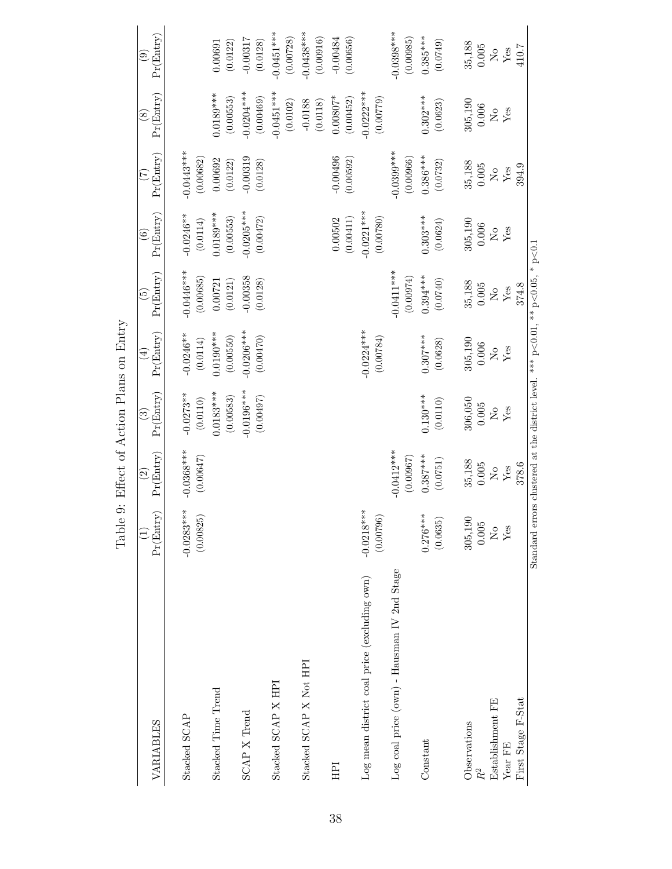| VARIABLES                                            | Pr(Entry)                                                                               | Pr(Entry)<br>$\widehat{\mathfrak{S}}$                                                                        | Pr(Entry)<br>ව                                                  | Pr(Entry)<br>$\bigoplus$  | Pr(Entry)<br>$\widetilde{\mathbb{G}}$ | Pr(Entry)<br>$\widehat{\mathbf{e}}$                                                | Pr(Entry)<br>E                                                             | Pr(Entry)<br>$\circledast$ | Pr(Entry)<br>$\odot$                                                                 |
|------------------------------------------------------|-----------------------------------------------------------------------------------------|--------------------------------------------------------------------------------------------------------------|-----------------------------------------------------------------|---------------------------|---------------------------------------|------------------------------------------------------------------------------------|----------------------------------------------------------------------------|----------------------------|--------------------------------------------------------------------------------------|
| Stacked SCAP                                         | $-0.0283***$<br>(0.00825)                                                               | $-0.0368***$<br>(0.00647)                                                                                    | $-0.0273**$<br>(0.0110)                                         | $-0.0246**$<br>(0.0114)   | $-0.0446***$<br>(0.00685)             | $-0.0246**$<br>(0.0114)                                                            | $-0.0443***$<br>(0.00682)                                                  |                            |                                                                                      |
| Stacked Time Trend                                   |                                                                                         |                                                                                                              | $0.0183***$<br>(0.00583)                                        | $0.0190***$<br>(0.00550)  | (0.0121)<br>0.00721                   | $0.0189***$<br>(0.00553)                                                           | 0.00692<br>$\left(0.0122\right)$                                           | $0.0189***$<br>(0.00553)   | (0.0122)<br>0.00691                                                                  |
| SCAP X Trend                                         |                                                                                         |                                                                                                              | $-0.0196***$<br>(0.00497)                                       | $-0.0206***$<br>(0.00470) | $-0.00358$<br>(0.0128)                | $-0.0205***$<br>(0.00472)                                                          | $-0.00319$<br>(0.0128)                                                     | $-0.0204***$<br>(0.00469)  | $-0.00317$<br>(0.0128)                                                               |
| Stacked SCAP X HPI                                   |                                                                                         |                                                                                                              |                                                                 |                           |                                       |                                                                                    |                                                                            | $-0.0451***$<br>(0.0102)   | $-0.0451***$<br>(0.00728)                                                            |
| Stacked SCAP X Not HPI                               |                                                                                         |                                                                                                              |                                                                 |                           |                                       |                                                                                    |                                                                            | $-0.0188$<br>(0.0118)      | $-0.0438***$<br>(0.00916)                                                            |
| HPI                                                  |                                                                                         |                                                                                                              |                                                                 |                           |                                       | $0.00502$<br>$(0.00411)$                                                           | $-0.00496$<br>$(0.00592)$                                                  | $0.00807*$<br>(0.00452)    | $-0.00484$<br>(0.00656)                                                              |
| Log mean district coal price (excluding own)         | $-0.0218***$<br>(0.00796)                                                               |                                                                                                              |                                                                 | $-0.0224***$<br>(0.00784) |                                       | $-0.0221***$<br>(0.00780)                                                          |                                                                            | $0.0222***$<br>(67700.0)   |                                                                                      |
| $\text{Log}$ coal price (own) - Hausman IV 2nd Stage |                                                                                         | $-0.0412***$<br>(0.00967)                                                                                    |                                                                 |                           | $-0.0411***$<br>(0.00974)             |                                                                                    | $0.0399***$<br>(0.00966)                                                   |                            | $0.0398***$<br>(0.00985)                                                             |
| Constant                                             | $0.276***$<br>(0.0635)                                                                  | $0.387***$<br>$\left(0.0751\right)$                                                                          | $0.130***$<br>(0.0110)                                          | $0.307***$<br>(0.0628)    | $0.394***$<br>(0.0740)                | $0.303***$<br>(0.0624)                                                             | $0.386***$<br>(0.0732)                                                     | $0.302***$<br>(0.0623)     | $0.385***$<br>(0.0749)                                                               |
| Observations<br>$R^2$                                | 305,190<br>$0.005\,$                                                                    | 35,188<br>$0.005\,$                                                                                          | 306,050                                                         | $305,190$<br>$0.006$      | $35,188$<br>$0.005$                   | $\begin{array}{c} 305{,}190 \\ 0{,}006 \\ \mathrm{No} \\ \mathrm{Yes} \end{array}$ | $\begin{array}{c} 35,188 \\ 0.005 \\ {\rm Ne} \\ {\rm Yes} \\ \end{array}$ | 305,190                    | $\begin{array}{c} 35{,}188 \\ 0{,}005 \\ \mathrm{No} \\ \mathrm{Yes} \\ \end{array}$ |
| Establishment FE                                     | $\mathop{\mathsf{S}}\nolimits$                                                          | $\rm \stackrel{\circ}{\rm \stackrel{\circ}{\rm \stackrel{\circ}{\rm \stackrel{\circ}{\rm \scriptstyle X}}}}$ | $\begin{array}{c} 0.005 \\ \text{No} \\ \text{Yes} \end{array}$ |                           |                                       |                                                                                    |                                                                            | $0.006$ No                 |                                                                                      |
| Year FE                                              | $\rm Yes$                                                                               | $\operatorname{Yes}$                                                                                         |                                                                 | $\overset{\circ}{X}_{es}$ | $\overset{\circ}{\mathrm{Yes}}$       |                                                                                    |                                                                            | ${\rm Yes}$                |                                                                                      |
| First Stage F-Stat                                   |                                                                                         | 378.6                                                                                                        |                                                                 |                           | 374.8                                 |                                                                                    | 394.9                                                                      |                            | 410.7                                                                                |
|                                                      | Standard errors clustered at the district level. *** $p<0.01$ , ** $p<0.05$ , * $p<0.1$ |                                                                                                              |                                                                 |                           |                                       |                                                                                    |                                                                            |                            |                                                                                      |

<span id="page-38-0"></span>Table 9: Effect of Action Plans on Entry Table 9: Effect of Action Plans on Entry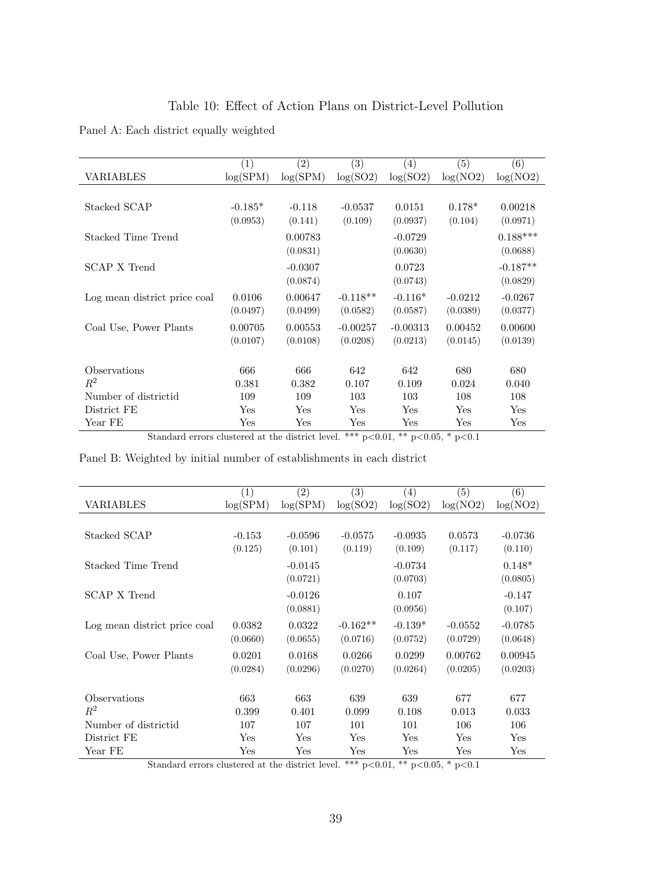<span id="page-39-0"></span>

| Table 10: Effect of Action Plans on District-Level Pollution |
|--------------------------------------------------------------|
|--------------------------------------------------------------|

Panel A: Each district equally weighted

|                              | $\left( 1\right)$ | $\left( 2\right)$ | (3)        | (4)        | (5)       | (6)        |
|------------------------------|-------------------|-------------------|------------|------------|-----------|------------|
| VARIABLES                    | log(SPM)          | log(SPM)          | log(SO2)   | log(SO2)   | log(NO2)  | log(NO2)   |
|                              |                   |                   |            |            |           |            |
| Stacked SCAP                 | $-0.185*$         | $-0.118$          | $-0.0537$  | 0.0151     | $0.178*$  | 0.00218    |
|                              | (0.0953)          | (0.141)           | (0.109)    | (0.0937)   | (0.104)   | (0.0971)   |
| Stacked Time Trend           |                   | 0.00783           |            | $-0.0729$  |           | $0.188***$ |
|                              |                   | (0.0831)          |            | (0.0630)   |           | (0.0688)   |
| SCAP X Trend                 |                   | $-0.0307$         |            | 0.0723     |           | $-0.187**$ |
|                              |                   | (0.0874)          |            | (0.0743)   |           | (0.0829)   |
| Log mean district price coal | 0.0106            | 0.00647           | $-0.118**$ | $-0.116*$  | $-0.0212$ | $-0.0267$  |
|                              | (0.0497)          | (0.0499)          | (0.0582)   | (0.0587)   | (0.0389)  | (0.0377)   |
| Coal Use, Power Plants       | 0.00705           | 0.00553           | $-0.00257$ | $-0.00313$ | 0.00452   | 0.00600    |
|                              | (0.0107)          | (0.0108)          | (0.0208)   | (0.0213)   | (0.0145)  | (0.0139)   |
|                              |                   |                   |            |            |           |            |
| Observations                 | 666               | 666               | 642        | 642        | 680       | 680        |
| $R^2$                        | 0.381             | 0.382             | 0.107      | 0.109      | 0.024     | 0.040      |
| Number of districtid         | 109               | 109               | 103        | 103        | 108       | 108        |
| District FE                  | Yes               | Yes               | Yes        | Yes        | Yes       | Yes        |
| Year FE                      | Yes               | Yes               | Yes        | Yes        | Yes       | Yes        |

Standard errors clustered at the district level. \*\*\*  $p<0.01$ , \*\*  $p<0.05$ , \*  $p<0.1$ 

Panel B: Weighted by initial number of establishments in each district

|                              | $\left( 1\right)$ | $\left( 2\right)$ | $\left( 3\right)$ | $\left(4\right)$ | (5)       | (6)       |
|------------------------------|-------------------|-------------------|-------------------|------------------|-----------|-----------|
| VARIABLES                    | log(SPM)          | log(SPM)          | log(SO2)          | log(SO2)         | log(NO2)  | log(NO2)  |
|                              |                   |                   |                   |                  |           |           |
| Stacked SCAP                 | $-0.153$          | $-0.0596$         | $-0.0575$         | $-0.0935$        | 0.0573    | $-0.0736$ |
|                              | (0.125)           | (0.101)           | (0.119)           | (0.109)          | (0.117)   | (0.110)   |
| Stacked Time Trend           |                   | $-0.0145$         |                   | $-0.0734$        |           | $0.148*$  |
|                              |                   | (0.0721)          |                   | (0.0703)         |           | (0.0805)  |
| SCAP X Trend                 |                   | $-0.0126$         |                   | 0.107            |           | $-0.147$  |
|                              |                   | (0.0881)          |                   | (0.0956)         |           | (0.107)   |
| Log mean district price coal | 0.0382            | 0.0322            | $-0.162**$        | $-0.139*$        | $-0.0552$ | $-0.0785$ |
|                              | (0.0660)          | (0.0655)          | (0.0716)          | (0.0752)         | (0.0729)  | (0.0648)  |
| Coal Use, Power Plants       | 0.0201            | 0.0168            | 0.0266            | 0.0299           | 0.00762   | 0.00945   |
|                              | (0.0284)          | (0.0296)          | (0.0270)          | (0.0264)         | (0.0205)  | (0.0203)  |
|                              |                   |                   |                   |                  |           |           |
| Observations                 | 663               | 663               | 639               | 639              | 677       | 677       |
| $R^2$                        | 0.399             | 0.401             | 0.099             | 0.108            | 0.013     | 0.033     |
| Number of districtid         | 107               | 107               | 101               | 101              | 106       | 106       |
| District FE                  | $_{\rm Yes}$      | Yes               | Yes               | $_{\rm Yes}$     | Yes       | Yes       |
| Year FE                      | Yes               | $_{\rm Yes}$      | $_{\rm Yes}$      | Yes              | Yes       | Yes       |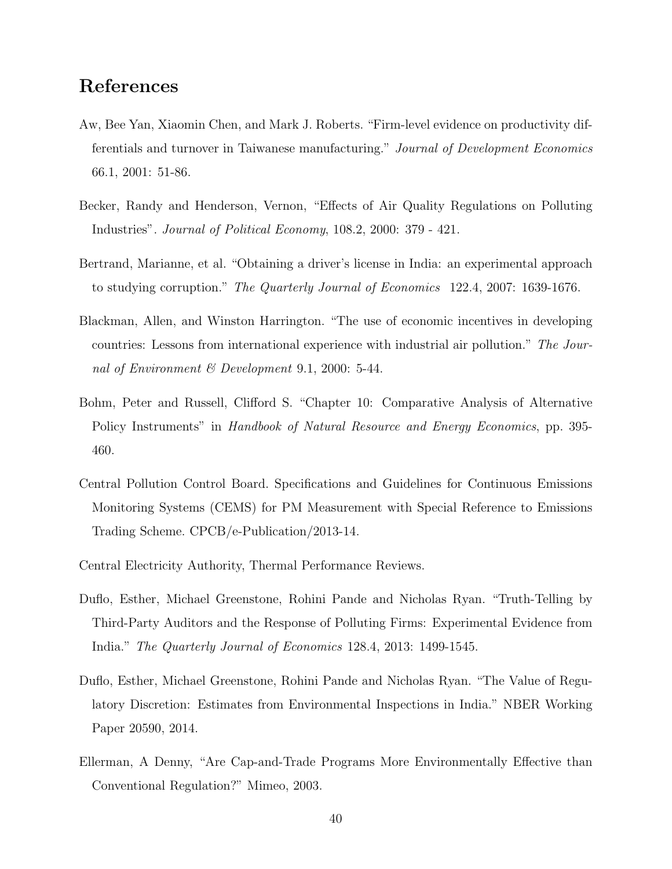## References

- <span id="page-40-7"></span>Aw, Bee Yan, Xiaomin Chen, and Mark J. Roberts. "Firm-level evidence on productivity differentials and turnover in Taiwanese manufacturing." Journal of Development Economics 66.1, 2001: 51-86.
- <span id="page-40-6"></span>Becker, Randy and Henderson, Vernon, "Effects of Air Quality Regulations on Polluting Industries". Journal of Political Economy, 108.2, 2000: 379 - 421.
- <span id="page-40-0"></span>Bertrand, Marianne, et al. "Obtaining a driver's license in India: an experimental approach to studying corruption." The Quarterly Journal of Economics 122.4, 2007: 1639-1676.
- <span id="page-40-4"></span>Blackman, Allen, and Winston Harrington. "The use of economic incentives in developing countries: Lessons from international experience with industrial air pollution." The Journal of Environment  $\mathcal B$  Development 9.1, 2000: 5-44.
- <span id="page-40-3"></span>Bohm, Peter and Russell, Clifford S. "Chapter 10: Comparative Analysis of Alternative Policy Instruments" in Handbook of Natural Resource and Energy Economics, pp. 395-460.
- <span id="page-40-8"></span>Central Pollution Control Board. Specifications and Guidelines for Continuous Emissions Monitoring Systems (CEMS) for PM Measurement with Special Reference to Emissions Trading Scheme. CPCB/e-Publication/2013-14.
- Central Electricity Authority, Thermal Performance Reviews.
- <span id="page-40-1"></span>Duflo, Esther, Michael Greenstone, Rohini Pande and Nicholas Ryan. "Truth-Telling by Third-Party Auditors and the Response of Polluting Firms: Experimental Evidence from India." The Quarterly Journal of Economics 128.4, 2013: 1499-1545.
- <span id="page-40-2"></span>Duflo, Esther, Michael Greenstone, Rohini Pande and Nicholas Ryan. "The Value of Regulatory Discretion: Estimates from Environmental Inspections in India." NBER Working Paper 20590, 2014.
- <span id="page-40-5"></span>Ellerman, A Denny, "Are Cap-and-Trade Programs More Environmentally Effective than Conventional Regulation?" Mimeo, 2003.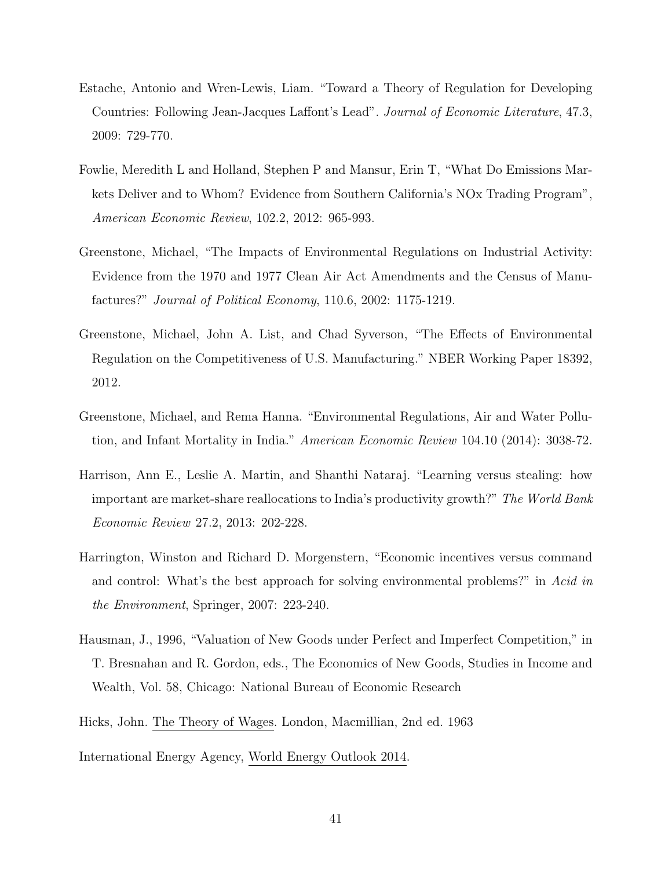- <span id="page-41-3"></span>Estache, Antonio and Wren-Lewis, Liam. "Toward a Theory of Regulation for Developing Countries: Following Jean-Jacques Laffont's Lead". Journal of Economic Literature, 47.3, 2009: 729-770.
- <span id="page-41-4"></span>Fowlie, Meredith L and Holland, Stephen P and Mansur, Erin T, "What Do Emissions Markets Deliver and to Whom? Evidence from Southern California's NOx Trading Program", American Economic Review, 102.2, 2012: 965-993.
- Greenstone, Michael, "The Impacts of Environmental Regulations on Industrial Activity: Evidence from the 1970 and 1977 Clean Air Act Amendments and the Census of Manufactures?" Journal of Political Economy, 110.6, 2002: 1175-1219.
- <span id="page-41-5"></span>Greenstone, Michael, John A. List, and Chad Syverson, "The Effects of Environmental Regulation on the Competitiveness of U.S. Manufacturing." NBER Working Paper 18392, 2012.
- <span id="page-41-1"></span>Greenstone, Michael, and Rema Hanna. "Environmental Regulations, Air and Water Pollution, and Infant Mortality in India." American Economic Review 104.10 (2014): 3038-72.
- <span id="page-41-6"></span>Harrison, Ann E., Leslie A. Martin, and Shanthi Nataraj. "Learning versus stealing: how important are market-share reallocations to India's productivity growth?" The World Bank Economic Review 27.2, 2013: 202-228.
- <span id="page-41-2"></span>Harrington, Winston and Richard D. Morgenstern, "Economic incentives versus command and control: What's the best approach for solving environmental problems?" in Acid in the Environment, Springer, 2007: 223-240.
- <span id="page-41-7"></span>Hausman, J., 1996, "Valuation of New Goods under Perfect and Imperfect Competition," in T. Bresnahan and R. Gordon, eds., The Economics of New Goods, Studies in Income and Wealth, Vol. 58, Chicago: National Bureau of Economic Research
- Hicks, John. The Theory of Wages. London, Macmillian, 2nd ed. 1963
- <span id="page-41-0"></span>International Energy Agency, World Energy Outlook 2014.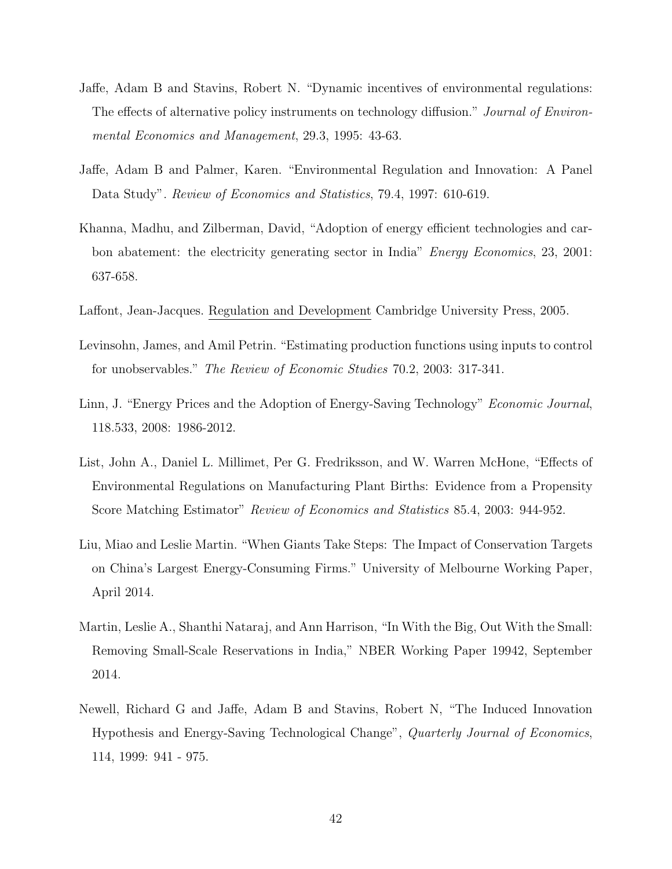- <span id="page-42-1"></span>Jaffe, Adam B and Stavins, Robert N. "Dynamic incentives of environmental regulations: The effects of alternative policy instruments on technology diffusion." Journal of Environmental Economics and Management, 29.3, 1995: 43-63.
- <span id="page-42-7"></span>Jaffe, Adam B and Palmer, Karen. "Environmental Regulation and Innovation: A Panel Data Study". Review of Economics and Statistics, 79.4, 1997: 610-619.
- <span id="page-42-2"></span>Khanna, Madhu, and Zilberman, David, "Adoption of energy efficient technologies and carbon abatement: the electricity generating sector in India" Energy Economics, 23, 2001: 637-658.
- <span id="page-42-0"></span>Laffont, Jean-Jacques. Regulation and Development Cambridge University Press, 2005.
- <span id="page-42-8"></span>Levinsohn, James, and Amil Petrin. "Estimating production functions using inputs to control for unobservables." The Review of Economic Studies 70.2, 2003: 317-341.
- <span id="page-42-3"></span>Linn, J. "Energy Prices and the Adoption of Energy-Saving Technology" Economic Journal, 118.533, 2008: 1986-2012.
- <span id="page-42-5"></span>List, John A., Daniel L. Millimet, Per G. Fredriksson, and W. Warren McHone, "Effects of Environmental Regulations on Manufacturing Plant Births: Evidence from a Propensity Score Matching Estimator" Review of Economics and Statistics 85.4, 2003: 944-952.
- <span id="page-42-6"></span>Liu, Miao and Leslie Martin. "When Giants Take Steps: The Impact of Conservation Targets on China's Largest Energy-Consuming Firms." University of Melbourne Working Paper, April 2014.
- <span id="page-42-9"></span>Martin, Leslie A., Shanthi Nataraj, and Ann Harrison, "In With the Big, Out With the Small: Removing Small-Scale Reservations in India," NBER Working Paper 19942, September 2014.
- <span id="page-42-4"></span>Newell, Richard G and Jaffe, Adam B and Stavins, Robert N, "The Induced Innovation Hypothesis and Energy-Saving Technological Change", Quarterly Journal of Economics, 114, 1999: 941 - 975.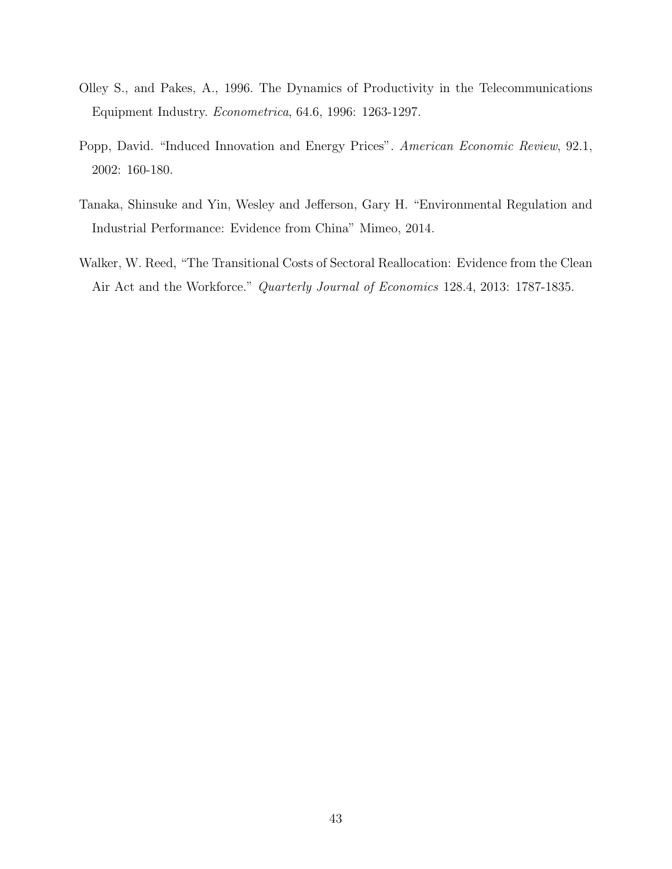- <span id="page-43-3"></span>Olley S., and Pakes, A., 1996. The Dynamics of Productivity in the Telecommunications Equipment Industry. Econometrica, 64.6, 1996: 1263-1297.
- <span id="page-43-0"></span>Popp, David. "Induced Innovation and Energy Prices". American Economic Review, 92.1, 2002: 160-180.
- <span id="page-43-2"></span>Tanaka, Shinsuke and Yin, Wesley and Jefferson, Gary H. "Environmental Regulation and Industrial Performance: Evidence from China" Mimeo, 2014.
- <span id="page-43-1"></span>Walker, W. Reed, "The Transitional Costs of Sectoral Reallocation: Evidence from the Clean Air Act and the Workforce." Quarterly Journal of Economics 128.4, 2013: 1787-1835.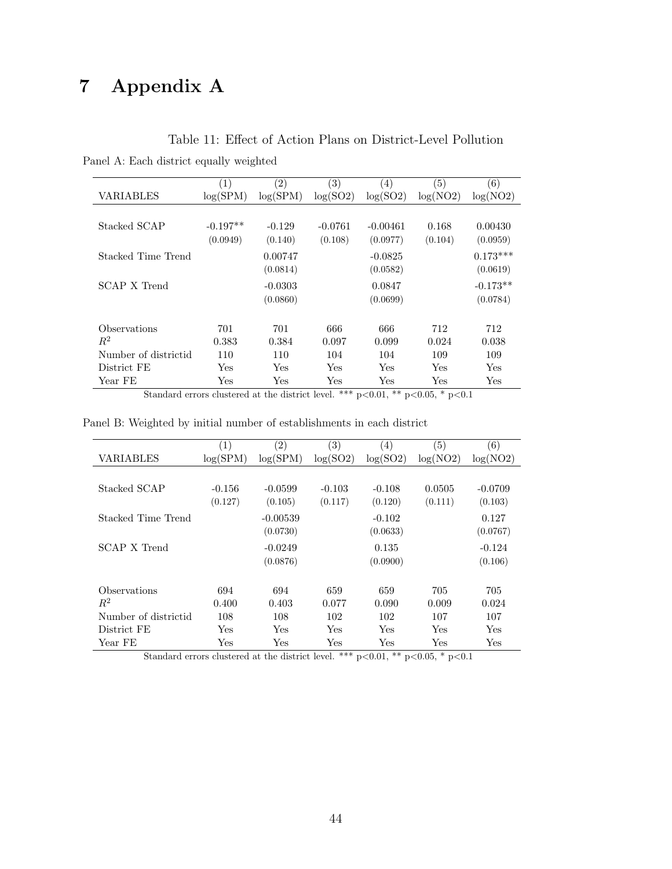# 7 Appendix A

|  |  |  |  |  | Panel A: Each district equally weighted |
|--|--|--|--|--|-----------------------------------------|
|--|--|--|--|--|-----------------------------------------|

|                      | $\left( 1\right)$ | $\left( 2\right)$ | (3)       | $\left( 4\right)$ | $\left( 5\right)$ | (6)        |
|----------------------|-------------------|-------------------|-----------|-------------------|-------------------|------------|
| VARIABLES            | log(SPM)          | log(SPM)          | log(SO2)  | log(SO2)          | log(NO2)          | log(NO2)   |
|                      |                   |                   |           |                   |                   |            |
| Stacked SCAP         | $-0.197**$        | $-0.129$          | $-0.0761$ | $-0.00461$        | 0.168             | 0.00430    |
|                      | (0.0949)          | (0.140)           | (0.108)   | (0.0977)          | (0.104)           | (0.0959)   |
| Stacked Time Trend   |                   | 0.00747           |           | $-0.0825$         |                   | $0.173***$ |
|                      |                   | (0.0814)          |           | (0.0582)          |                   | (0.0619)   |
| SCAP X Trend         |                   | $-0.0303$         |           | 0.0847            |                   | $-0.173**$ |
|                      |                   | (0.0860)          |           | (0.0699)          |                   | (0.0784)   |
|                      |                   |                   |           |                   |                   |            |
| Observations         | 701               | 701               | 666       | 666               | 712               | 712        |
| $R^2$                | 0.383             | 0.384             | 0.097     | 0.099             | 0.024             | 0.038      |
| Number of districtid | 110               | 110               | 104       | 104               | 109               | 109        |
| District FE          | Yes               | Yes               | Yes       | Yes               | Yes               | Yes        |
| Year FE              | Yes               | Yes               | Yes       | Yes               | Yes               | Yes        |

Standard errors clustered at the district level. \*\*\*  $p<0.01$ , \*\*  $p<0.05$ , \*  $p<0.1$ 

Panel B: Weighted by initial number of establishments in each district

|                      | $\left(1\right)$ | $\left( 2\right)$ | $\left( 3\right)$ | (4)      | (5)      | (6)       |
|----------------------|------------------|-------------------|-------------------|----------|----------|-----------|
| VARIABLES            | log(SPM)         | log(SPM)          | log(SO2)          | log(SO2) | log(NO2) | log(NO2)  |
|                      |                  |                   |                   |          |          |           |
| Stacked SCAP         | $-0.156$         | $-0.0599$         | $-0.103$          | $-0.108$ | 0.0505   | $-0.0709$ |
|                      | (0.127)          | (0.105)           | (0.117)           | (0.120)  | (0.111)  | (0.103)   |
| Stacked Time Trend   |                  | $-0.00539$        |                   | $-0.102$ |          | 0.127     |
|                      |                  | (0.0730)          |                   | (0.0633) |          | (0.0767)  |
|                      |                  |                   |                   |          |          |           |
| SCAP X Trend         |                  | $-0.0249$         |                   | 0.135    |          | $-0.124$  |
|                      |                  | (0.0876)          |                   | (0.0900) |          | (0.106)   |
|                      |                  |                   |                   |          |          |           |
| Observations         | 694              | 694               | 659               | 659      | 705      | 705       |
| $R^2$                | 0.400            | 0.403             | 0.077             | 0.090    | 0.009    | 0.024     |
| Number of districtid | 108              | 108               | 102               | 102      | 107      | 107       |
| District FE          | Yes              | Yes               | Yes               | Yes      | Yes      | Yes       |
| Year FE              | $_{\rm Yes}$     | Yes               | Yes               | Yes      | Yes      | Yes       |